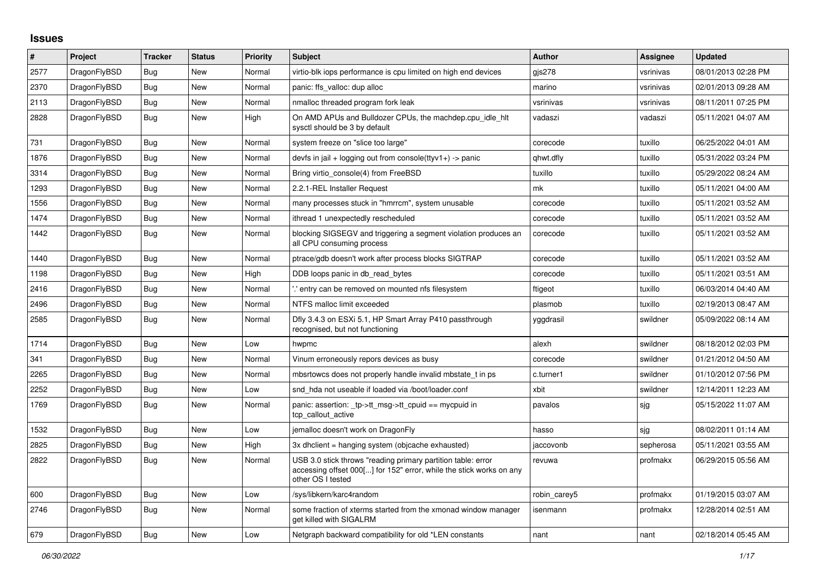## **Issues**

| #    | Project      | <b>Tracker</b> | <b>Status</b> | <b>Priority</b> | <b>Subject</b>                                                                                                                                           | <b>Author</b> | Assignee  | <b>Updated</b>      |
|------|--------------|----------------|---------------|-----------------|----------------------------------------------------------------------------------------------------------------------------------------------------------|---------------|-----------|---------------------|
| 2577 | DragonFlyBSD | Bug            | New           | Normal          | virtio-blk iops performance is cpu limited on high end devices                                                                                           | $q$ js $278$  | vsrinivas | 08/01/2013 02:28 PM |
| 2370 | DragonFlyBSD | <b>Bug</b>     | <b>New</b>    | Normal          | panic: ffs valloc: dup alloc                                                                                                                             | marino        | vsrinivas | 02/01/2013 09:28 AM |
| 2113 | DragonFlyBSD | Bug            | New           | Normal          | nmalloc threaded program fork leak                                                                                                                       | vsrinivas     | vsrinivas | 08/11/2011 07:25 PM |
| 2828 | DragonFlyBSD | <b>Bug</b>     | New           | High            | On AMD APUs and Bulldozer CPUs, the machdep.cpu idle hit<br>sysctl should be 3 by default                                                                | vadaszi       | vadaszi   | 05/11/2021 04:07 AM |
| 731  | DragonFlyBSD | <b>Bug</b>     | New           | Normal          | system freeze on "slice too large"                                                                                                                       | corecode      | tuxillo   | 06/25/2022 04:01 AM |
| 1876 | DragonFlyBSD | <b>Bug</b>     | <b>New</b>    | Normal          | devfs in jail + logging out from console(ttyv1+) -> panic                                                                                                | qhwt.dfly     | tuxillo   | 05/31/2022 03:24 PM |
| 3314 | DragonFlyBSD | <b>Bug</b>     | New           | Normal          | Bring virtio console(4) from FreeBSD                                                                                                                     | tuxillo       | tuxillo   | 05/29/2022 08:24 AM |
| 1293 | DragonFlyBSD | Bug            | New           | Normal          | 2.2.1-REL Installer Request                                                                                                                              | mk            | tuxillo   | 05/11/2021 04:00 AM |
| 1556 | DragonFlyBSD | <b>Bug</b>     | New           | Normal          | many processes stuck in "hmrrcm", system unusable                                                                                                        | corecode      | tuxillo   | 05/11/2021 03:52 AM |
| 1474 | DragonFlyBSD | Bug            | New           | Normal          | ithread 1 unexpectedly rescheduled                                                                                                                       | corecode      | tuxillo   | 05/11/2021 03:52 AM |
| 1442 | DragonFlyBSD | Bug            | New           | Normal          | blocking SIGSEGV and triggering a segment violation produces an<br>all CPU consuming process                                                             | corecode      | tuxillo   | 05/11/2021 03:52 AM |
| 1440 | DragonFlyBSD | <b>Bug</b>     | <b>New</b>    | Normal          | ptrace/gdb doesn't work after process blocks SIGTRAP                                                                                                     | corecode      | tuxillo   | 05/11/2021 03:52 AM |
| 1198 | DragonFlyBSD | Bug            | New           | High            | DDB loops panic in db_read_bytes                                                                                                                         | corecode      | tuxillo   | 05/11/2021 03:51 AM |
| 2416 | DragonFlyBSD | Bug            | New           | Normal          | ".' entry can be removed on mounted nfs filesystem                                                                                                       | ftigeot       | tuxillo   | 06/03/2014 04:40 AM |
| 2496 | DragonFlyBSD | Bug            | New           | Normal          | NTFS malloc limit exceeded                                                                                                                               | plasmob       | tuxillo   | 02/19/2013 08:47 AM |
| 2585 | DragonFlyBSD | Bug            | New           | Normal          | Dfly 3.4.3 on ESXi 5.1, HP Smart Array P410 passthrough<br>recognised, but not functioning                                                               | yggdrasil     | swildner  | 05/09/2022 08:14 AM |
| 1714 | DragonFlyBSD | <b>Bug</b>     | <b>New</b>    | Low             | hwpmc                                                                                                                                                    | alexh         | swildner  | 08/18/2012 02:03 PM |
| 341  | DragonFlyBSD | <b>Bug</b>     | New           | Normal          | Vinum erroneously repors devices as busy                                                                                                                 | corecode      | swildner  | 01/21/2012 04:50 AM |
| 2265 | DragonFlyBSD | <b>Bug</b>     | <b>New</b>    | Normal          | mbsrtowcs does not properly handle invalid mbstate_t in ps                                                                                               | c.turner1     | swildner  | 01/10/2012 07:56 PM |
| 2252 | DragonFlyBSD | Bug            | New           | Low             | snd hda not useable if loaded via /boot/loader.conf                                                                                                      | xbit          | swildner  | 12/14/2011 12:23 AM |
| 1769 | DragonFlyBSD | <b>Bug</b>     | New           | Normal          | panic: assertion: tp->tt msg->tt cpuid == mycpuid in<br>tcp callout active                                                                               | pavalos       | sjg       | 05/15/2022 11:07 AM |
| 1532 | DragonFlyBSD | Bug            | New           | Low             | jemalloc doesn't work on DragonFly                                                                                                                       | hasso         | sjg       | 08/02/2011 01:14 AM |
| 2825 | DragonFlyBSD | Bug            | New           | High            | 3x dhclient = hanging system (objcache exhausted)                                                                                                        | jaccovonb     | sepherosa | 05/11/2021 03:55 AM |
| 2822 | DragonFlyBSD | <b>Bug</b>     | New           | Normal          | USB 3.0 stick throws "reading primary partition table: error<br>accessing offset 000[] for 152" error, while the stick works on any<br>other OS I tested | revuwa        | profmakx  | 06/29/2015 05:56 AM |
| 600  | DragonFlyBSD | Bug            | New           | Low             | /sys/libkern/karc4random                                                                                                                                 | robin carey5  | profmakx  | 01/19/2015 03:07 AM |
| 2746 | DragonFlyBSD | Bug            | New           | Normal          | some fraction of xterms started from the xmonad window manager<br>get killed with SIGALRM                                                                | isenmann      | profmakx  | 12/28/2014 02:51 AM |
| 679  | DragonFlyBSD | <b>Bug</b>     | New           | Low             | Netgraph backward compatibility for old *LEN constants                                                                                                   | nant          | nant      | 02/18/2014 05:45 AM |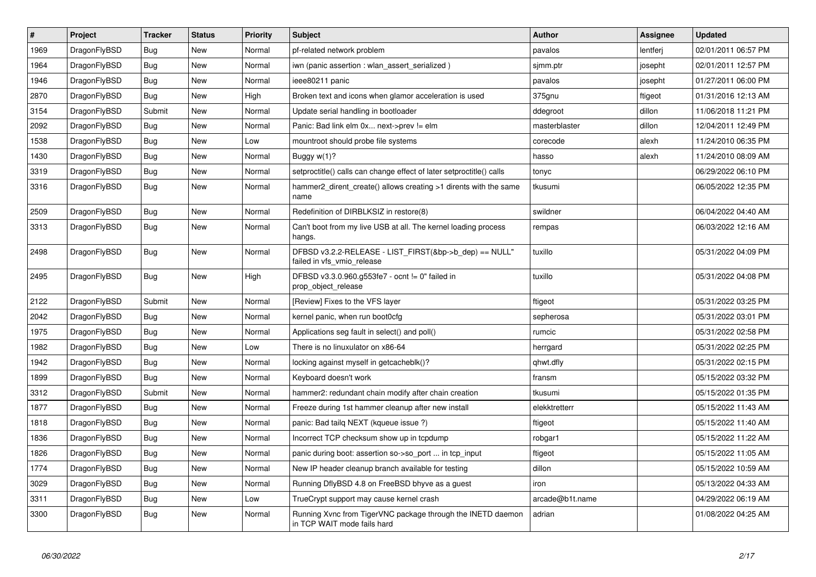| $\vert$ # | <b>Project</b> | <b>Tracker</b> | <b>Status</b> | <b>Priority</b> | <b>Subject</b>                                                                             | Author          | Assignee | <b>Updated</b>      |
|-----------|----------------|----------------|---------------|-----------------|--------------------------------------------------------------------------------------------|-----------------|----------|---------------------|
| 1969      | DragonFlyBSD   | Bug            | New           | Normal          | pf-related network problem                                                                 | pavalos         | lentferj | 02/01/2011 06:57 PM |
| 1964      | DragonFlyBSD   | <b>Bug</b>     | New           | Normal          | iwn (panic assertion : wlan assert serialized)                                             | sjmm.ptr        | josepht  | 02/01/2011 12:57 PM |
| 1946      | DragonFlyBSD   | <b>Bug</b>     | New           | Normal          | ieee80211 panic                                                                            | pavalos         | josepht  | 01/27/2011 06:00 PM |
| 2870      | DragonFlyBSD   | Bug            | New           | High            | Broken text and icons when glamor acceleration is used                                     | 375gnu          | ftigeot  | 01/31/2016 12:13 AM |
| 3154      | DragonFlyBSD   | Submit         | New           | Normal          | Update serial handling in bootloader                                                       | ddegroot        | dillon   | 11/06/2018 11:21 PM |
| 2092      | DragonFlyBSD   | <b>Bug</b>     | New           | Normal          | Panic: Bad link elm 0x next->prev != elm                                                   | masterblaster   | dillon   | 12/04/2011 12:49 PM |
| 1538      | DragonFlyBSD   | <b>Bug</b>     | New           | Low             | mountroot should probe file systems                                                        | corecode        | alexh    | 11/24/2010 06:35 PM |
| 1430      | DragonFlyBSD   | Bug            | New           | Normal          | Buggy $w(1)$ ?                                                                             | hasso           | alexh    | 11/24/2010 08:09 AM |
| 3319      | DragonFlyBSD   | <b>Bug</b>     | New           | Normal          | setproctitle() calls can change effect of later setproctitle() calls                       | tonyc           |          | 06/29/2022 06:10 PM |
| 3316      | DragonFlyBSD   | <b>Bug</b>     | New           | Normal          | hammer2 dirent create() allows creating >1 dirents with the same<br>name                   | tkusumi         |          | 06/05/2022 12:35 PM |
| 2509      | DragonFlyBSD   | <b>Bug</b>     | New           | Normal          | Redefinition of DIRBLKSIZ in restore(8)                                                    | swildner        |          | 06/04/2022 04:40 AM |
| 3313      | DragonFlyBSD   | Bug            | New           | Normal          | Can't boot from my live USB at all. The kernel loading process<br>hangs.                   | rempas          |          | 06/03/2022 12:16 AM |
| 2498      | DragonFlyBSD   | <b>Bug</b>     | New           | Normal          | DFBSD v3.2.2-RELEASE - LIST_FIRST(&bp->b_dep) == NULL"<br>failed in vfs vmio release       | tuxillo         |          | 05/31/2022 04:09 PM |
| 2495      | DragonFlyBSD   | Bug            | <b>New</b>    | High            | DFBSD v3.3.0.960.g553fe7 - ocnt != 0" failed in<br>prop object release                     | tuxillo         |          | 05/31/2022 04:08 PM |
| 2122      | DragonFlyBSD   | Submit         | <b>New</b>    | Normal          | [Review] Fixes to the VFS layer                                                            | ftigeot         |          | 05/31/2022 03:25 PM |
| 2042      | DragonFlyBSD   | Bug            | <b>New</b>    | Normal          | kernel panic, when run boot0cfg                                                            | sepherosa       |          | 05/31/2022 03:01 PM |
| 1975      | DragonFlyBSD   | Bug            | New           | Normal          | Applications seg fault in select() and poll()                                              | rumcic          |          | 05/31/2022 02:58 PM |
| 1982      | DragonFlyBSD   | <b>Bug</b>     | New           | Low             | There is no linuxulator on x86-64                                                          | herrgard        |          | 05/31/2022 02:25 PM |
| 1942      | DragonFlyBSD   | <b>Bug</b>     | <b>New</b>    | Normal          | locking against myself in getcacheblk()?                                                   | qhwt.dfly       |          | 05/31/2022 02:15 PM |
| 1899      | DragonFlyBSD   | Bug            | <b>New</b>    | Normal          | Keyboard doesn't work                                                                      | fransm          |          | 05/15/2022 03:32 PM |
| 3312      | DragonFlyBSD   | Submit         | <b>New</b>    | Normal          | hammer2: redundant chain modify after chain creation                                       | tkusumi         |          | 05/15/2022 01:35 PM |
| 1877      | DragonFlyBSD   | <b>Bug</b>     | <b>New</b>    | Normal          | Freeze during 1st hammer cleanup after new install                                         | elekktretterr   |          | 05/15/2022 11:43 AM |
| 1818      | DragonFlyBSD   | <b>Bug</b>     | <b>New</b>    | Normal          | panic: Bad tailq NEXT (kqueue issue ?)                                                     | ftigeot         |          | 05/15/2022 11:40 AM |
| 1836      | DragonFlyBSD   | <b>Bug</b>     | <b>New</b>    | Normal          | Incorrect TCP checksum show up in tcpdump                                                  | robgar1         |          | 05/15/2022 11:22 AM |
| 1826      | DragonFlyBSD   | Bug            | <b>New</b>    | Normal          | panic during boot: assertion so->so_port  in tcp_input                                     | ftigeot         |          | 05/15/2022 11:05 AM |
| 1774      | DragonFlyBSD   | Bug            | New           | Normal          | New IP header cleanup branch available for testing                                         | dillon          |          | 05/15/2022 10:59 AM |
| 3029      | DragonFlyBSD   | <b>Bug</b>     | <b>New</b>    | Normal          | Running DflyBSD 4.8 on FreeBSD bhyve as a guest                                            | iron            |          | 05/13/2022 04:33 AM |
| 3311      | DragonFlyBSD   | <b>Bug</b>     | <b>New</b>    | Low             | TrueCrypt support may cause kernel crash                                                   | arcade@b1t.name |          | 04/29/2022 06:19 AM |
| 3300      | DragonFlyBSD   | <b>Bug</b>     | New           | Normal          | Running Xvnc from TigerVNC package through the INETD daemon<br>in TCP WAIT mode fails hard | adrian          |          | 01/08/2022 04:25 AM |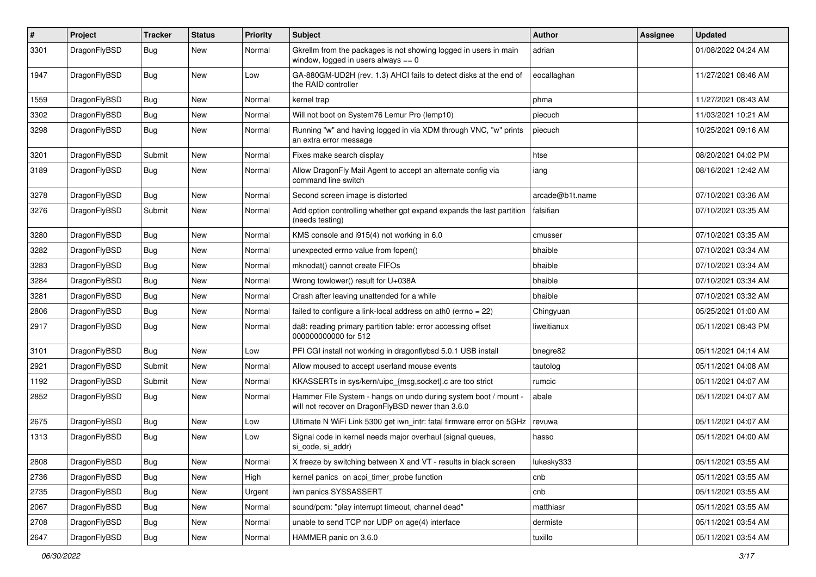| $\#$ | Project      | <b>Tracker</b> | <b>Status</b> | <b>Priority</b> | Subject                                                                                                              | Author          | Assignee | <b>Updated</b>      |
|------|--------------|----------------|---------------|-----------------|----------------------------------------------------------------------------------------------------------------------|-----------------|----------|---------------------|
| 3301 | DragonFlyBSD | Bug            | <b>New</b>    | Normal          | Gkrellm from the packages is not showing logged in users in main<br>window, logged in users always $== 0$            | adrian          |          | 01/08/2022 04:24 AM |
| 1947 | DragonFlyBSD | Bug            | <b>New</b>    | Low             | GA-880GM-UD2H (rev. 1.3) AHCI fails to detect disks at the end of<br>the RAID controller                             | eocallaghan     |          | 11/27/2021 08:46 AM |
| 1559 | DragonFlyBSD | <b>Bug</b>     | <b>New</b>    | Normal          | kernel trap                                                                                                          | phma            |          | 11/27/2021 08:43 AM |
| 3302 | DragonFlyBSD | Bug            | New           | Normal          | Will not boot on System76 Lemur Pro (lemp10)                                                                         | piecuch         |          | 11/03/2021 10:21 AM |
| 3298 | DragonFlyBSD | <b>Bug</b>     | New           | Normal          | Running "w" and having logged in via XDM through VNC, "w" prints<br>an extra error message                           | piecuch         |          | 10/25/2021 09:16 AM |
| 3201 | DragonFlyBSD | Submit         | <b>New</b>    | Normal          | Fixes make search display                                                                                            | htse            |          | 08/20/2021 04:02 PM |
| 3189 | DragonFlyBSD | <b>Bug</b>     | <b>New</b>    | Normal          | Allow DragonFly Mail Agent to accept an alternate config via<br>command line switch                                  | iang            |          | 08/16/2021 12:42 AM |
| 3278 | DragonFlyBSD | <b>Bug</b>     | <b>New</b>    | Normal          | Second screen image is distorted                                                                                     | arcade@b1t.name |          | 07/10/2021 03:36 AM |
| 3276 | DragonFlyBSD | Submit         | <b>New</b>    | Normal          | Add option controlling whether gpt expand expands the last partition<br>(needs testing)                              | falsifian       |          | 07/10/2021 03:35 AM |
| 3280 | DragonFlyBSD | <b>Bug</b>     | New           | Normal          | KMS console and i915(4) not working in 6.0                                                                           | cmusser         |          | 07/10/2021 03:35 AM |
| 3282 | DragonFlyBSD | <b>Bug</b>     | <b>New</b>    | Normal          | unexpected errno value from fopen()                                                                                  | bhaible         |          | 07/10/2021 03:34 AM |
| 3283 | DragonFlyBSD | <b>Bug</b>     | <b>New</b>    | Normal          | mknodat() cannot create FIFOs                                                                                        | bhaible         |          | 07/10/2021 03:34 AM |
| 3284 | DragonFlyBSD | <b>Bug</b>     | <b>New</b>    | Normal          | Wrong towlower() result for U+038A                                                                                   | bhaible         |          | 07/10/2021 03:34 AM |
| 3281 | DragonFlyBSD | Bug            | New           | Normal          | Crash after leaving unattended for a while                                                                           | bhaible         |          | 07/10/2021 03:32 AM |
| 2806 | DragonFlyBSD | <b>Bug</b>     | New           | Normal          | failed to configure a link-local address on ath $0$ (errno = 22)                                                     | Chingyuan       |          | 05/25/2021 01:00 AM |
| 2917 | DragonFlyBSD | <b>Bug</b>     | <b>New</b>    | Normal          | da8: reading primary partition table: error accessing offset<br>000000000000 for 512                                 | liweitianux     |          | 05/11/2021 08:43 PM |
| 3101 | DragonFlyBSD | Bug            | <b>New</b>    | Low             | PFI CGI install not working in dragonflybsd 5.0.1 USB install                                                        | bnegre82        |          | 05/11/2021 04:14 AM |
| 2921 | DragonFlyBSD | Submit         | <b>New</b>    | Normal          | Allow moused to accept userland mouse events                                                                         | tautolog        |          | 05/11/2021 04:08 AM |
| 1192 | DragonFlyBSD | Submit         | New           | Normal          | KKASSERTs in sys/kern/uipc_{msg,socket}.c are too strict                                                             | rumcic          |          | 05/11/2021 04:07 AM |
| 2852 | DragonFlyBSD | Bug            | New           | Normal          | Hammer File System - hangs on undo during system boot / mount -<br>will not recover on DragonFlyBSD newer than 3.6.0 | abale           |          | 05/11/2021 04:07 AM |
| 2675 | DragonFlyBSD | <b>Bug</b>     | <b>New</b>    | Low             | Ultimate N WiFi Link 5300 get iwn_intr: fatal firmware error on 5GHz                                                 | revuwa          |          | 05/11/2021 04:07 AM |
| 1313 | DragonFlyBSD | Bug            | <b>New</b>    | Low             | Signal code in kernel needs major overhaul (signal queues,<br>si_code, si_addr)                                      | hasso           |          | 05/11/2021 04:00 AM |
| 2808 | DragonFlyBSD | <b>Bug</b>     | New           | Normal          | X freeze by switching between X and VT - results in black screen                                                     | lukesky333      |          | 05/11/2021 03:55 AM |
| 2736 | DragonFlyBSD | Bug            | New           | High            | kernel panics on acpi timer probe function                                                                           | cnb             |          | 05/11/2021 03:55 AM |
| 2735 | DragonFlyBSD | <b>Bug</b>     | New           | Urgent          | iwn panics SYSSASSERT                                                                                                | cnb             |          | 05/11/2021 03:55 AM |
| 2067 | DragonFlyBSD | <b>Bug</b>     | New           | Normal          | sound/pcm: "play interrupt timeout, channel dead"                                                                    | matthiasr       |          | 05/11/2021 03:55 AM |
| 2708 | DragonFlyBSD | <b>Bug</b>     | New           | Normal          | unable to send TCP nor UDP on age(4) interface                                                                       | dermiste        |          | 05/11/2021 03:54 AM |
| 2647 | DragonFlyBSD | Bug            | New           | Normal          | HAMMER panic on 3.6.0                                                                                                | tuxillo         |          | 05/11/2021 03:54 AM |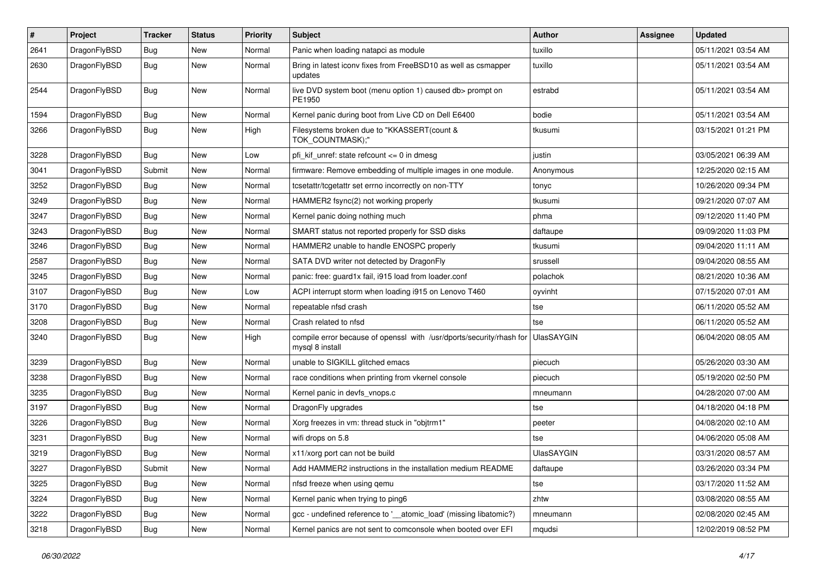| $\pmb{\#}$ | Project      | <b>Tracker</b> | <b>Status</b> | <b>Priority</b> | Subject                                                                                 | Author            | Assignee | <b>Updated</b>      |
|------------|--------------|----------------|---------------|-----------------|-----------------------------------------------------------------------------------------|-------------------|----------|---------------------|
| 2641       | DragonFlyBSD | Bug            | <b>New</b>    | Normal          | Panic when loading natapci as module                                                    | tuxillo           |          | 05/11/2021 03:54 AM |
| 2630       | DragonFlyBSD | Bug            | New           | Normal          | Bring in latest iconv fixes from FreeBSD10 as well as csmapper<br>updates               | tuxillo           |          | 05/11/2021 03:54 AM |
| 2544       | DragonFlyBSD | Bug            | New           | Normal          | live DVD system boot (menu option 1) caused db> prompt on<br>PE1950                     | estrabd           |          | 05/11/2021 03:54 AM |
| 1594       | DragonFlyBSD | <b>Bug</b>     | New           | Normal          | Kernel panic during boot from Live CD on Dell E6400                                     | bodie             |          | 05/11/2021 03:54 AM |
| 3266       | DragonFlyBSD | Bug            | <b>New</b>    | High            | Filesystems broken due to "KKASSERT(count &<br>TOK_COUNTMASK);"                         | tkusumi           |          | 03/15/2021 01:21 PM |
| 3228       | DragonFlyBSD | Bug            | <b>New</b>    | Low             | pfi_kif_unref: state refcount <= 0 in dmesg                                             | justin            |          | 03/05/2021 06:39 AM |
| 3041       | DragonFlyBSD | Submit         | <b>New</b>    | Normal          | firmware: Remove embedding of multiple images in one module.                            | Anonymous         |          | 12/25/2020 02:15 AM |
| 3252       | DragonFlyBSD | <b>Bug</b>     | New           | Normal          | tcsetattr/tcgetattr set errno incorrectly on non-TTY                                    | tonyc             |          | 10/26/2020 09:34 PM |
| 3249       | DragonFlyBSD | Bug            | <b>New</b>    | Normal          | HAMMER2 fsync(2) not working properly                                                   | tkusumi           |          | 09/21/2020 07:07 AM |
| 3247       | DragonFlyBSD | Bug            | <b>New</b>    | Normal          | Kernel panic doing nothing much                                                         | phma              |          | 09/12/2020 11:40 PM |
| 3243       | DragonFlyBSD | Bug            | New           | Normal          | SMART status not reported properly for SSD disks                                        | daftaupe          |          | 09/09/2020 11:03 PM |
| 3246       | DragonFlyBSD | Bug            | <b>New</b>    | Normal          | HAMMER2 unable to handle ENOSPC properly                                                | tkusumi           |          | 09/04/2020 11:11 AM |
| 2587       | DragonFlyBSD | <b>Bug</b>     | New           | Normal          | SATA DVD writer not detected by DragonFly                                               | srussell          |          | 09/04/2020 08:55 AM |
| 3245       | DragonFlyBSD | Bug            | <b>New</b>    | Normal          | panic: free: guard1x fail, i915 load from loader.conf                                   | polachok          |          | 08/21/2020 10:36 AM |
| 3107       | DragonFlyBSD | Bug            | <b>New</b>    | Low             | ACPI interrupt storm when loading i915 on Lenovo T460                                   | oyvinht           |          | 07/15/2020 07:01 AM |
| 3170       | DragonFlyBSD | <b>Bug</b>     | New           | Normal          | repeatable nfsd crash                                                                   | tse               |          | 06/11/2020 05:52 AM |
| 3208       | DragonFlyBSD | Bug            | <b>New</b>    | Normal          | Crash related to nfsd                                                                   | tse               |          | 06/11/2020 05:52 AM |
| 3240       | DragonFlyBSD | Bug            | New           | High            | compile error because of openssl with /usr/dports/security/rhash for<br>mysql 8 install | UlasSAYGIN        |          | 06/04/2020 08:05 AM |
| 3239       | DragonFlyBSD | <b>Bug</b>     | <b>New</b>    | Normal          | unable to SIGKILL glitched emacs                                                        | piecuch           |          | 05/26/2020 03:30 AM |
| 3238       | DragonFlyBSD | <b>Bug</b>     | New           | Normal          | race conditions when printing from vkernel console                                      | piecuch           |          | 05/19/2020 02:50 PM |
| 3235       | DragonFlyBSD | Bug            | <b>New</b>    | Normal          | Kernel panic in devfs_vnops.c                                                           | mneumann          |          | 04/28/2020 07:00 AM |
| 3197       | DragonFlyBSD | Bug            | <b>New</b>    | Normal          | DragonFly upgrades                                                                      | tse               |          | 04/18/2020 04:18 PM |
| 3226       | DragonFlyBSD | <b>Bug</b>     | New           | Normal          | Xorg freezes in vm: thread stuck in "objtrm1"                                           | peeter            |          | 04/08/2020 02:10 AM |
| 3231       | DragonFlyBSD | <b>Bug</b>     | <b>New</b>    | Normal          | wifi drops on 5.8                                                                       | tse               |          | 04/06/2020 05:08 AM |
| 3219       | DragonFlyBSD | <b>Bug</b>     | New           | Normal          | x11/xorg port can not be build                                                          | <b>UlasSAYGIN</b> |          | 03/31/2020 08:57 AM |
| 3227       | DragonFlyBSD | Submit         | New           | Normal          | Add HAMMER2 instructions in the installation medium README                              | daftaupe          |          | 03/26/2020 03:34 PM |
| 3225       | DragonFlyBSD | Bug            | New           | Normal          | nfsd freeze when using qemu                                                             | tse               |          | 03/17/2020 11:52 AM |
| 3224       | DragonFlyBSD | <b>Bug</b>     | New           | Normal          | Kernel panic when trying to ping6                                                       | zhtw              |          | 03/08/2020 08:55 AM |
| 3222       | DragonFlyBSD | <b>Bug</b>     | New           | Normal          | gcc - undefined reference to '__atomic_load' (missing libatomic?)                       | mneumann          |          | 02/08/2020 02:45 AM |
| 3218       | DragonFlyBSD | <b>Bug</b>     | New           | Normal          | Kernel panics are not sent to comconsole when booted over EFI                           | mqudsi            |          | 12/02/2019 08:52 PM |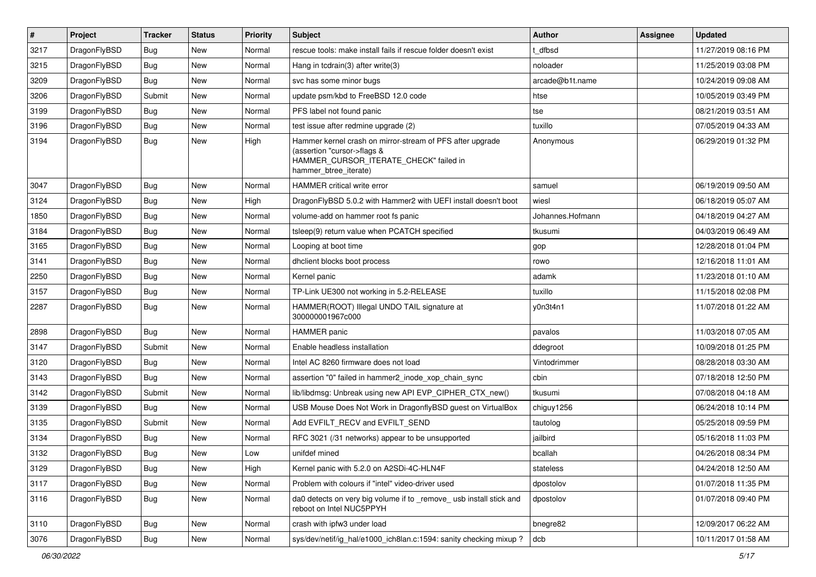| $\sharp$ | Project      | <b>Tracker</b> | <b>Status</b> | Priority | <b>Subject</b>                                                                                                                                              | <b>Author</b>    | Assignee | <b>Updated</b>      |
|----------|--------------|----------------|---------------|----------|-------------------------------------------------------------------------------------------------------------------------------------------------------------|------------------|----------|---------------------|
| 3217     | DragonFlyBSD | <b>Bug</b>     | New           | Normal   | rescue tools: make install fails if rescue folder doesn't exist                                                                                             | t_dfbsd          |          | 11/27/2019 08:16 PM |
| 3215     | DragonFlyBSD | <b>Bug</b>     | <b>New</b>    | Normal   | Hang in tcdrain(3) after write(3)                                                                                                                           | noloader         |          | 11/25/2019 03:08 PM |
| 3209     | DragonFlyBSD | <b>Bug</b>     | New           | Normal   | svc has some minor bugs                                                                                                                                     | arcade@b1t.name  |          | 10/24/2019 09:08 AM |
| 3206     | DragonFlyBSD | Submit         | New           | Normal   | update psm/kbd to FreeBSD 12.0 code                                                                                                                         | htse             |          | 10/05/2019 03:49 PM |
| 3199     | DragonFlyBSD | <b>Bug</b>     | <b>New</b>    | Normal   | PFS label not found panic                                                                                                                                   | tse              |          | 08/21/2019 03:51 AM |
| 3196     | DragonFlyBSD | <b>Bug</b>     | New           | Normal   | test issue after redmine upgrade (2)                                                                                                                        | tuxillo          |          | 07/05/2019 04:33 AM |
| 3194     | DragonFlyBSD | <b>Bug</b>     | New           | High     | Hammer kernel crash on mirror-stream of PFS after upgrade<br>(assertion "cursor->flags &<br>HAMMER_CURSOR_ITERATE_CHECK" failed in<br>hammer_btree_iterate) | Anonymous        |          | 06/29/2019 01:32 PM |
| 3047     | DragonFlyBSD | <b>Bug</b>     | <b>New</b>    | Normal   | HAMMER critical write error                                                                                                                                 | samuel           |          | 06/19/2019 09:50 AM |
| 3124     | DragonFlyBSD | <b>Bug</b>     | New           | High     | DragonFlyBSD 5.0.2 with Hammer2 with UEFI install doesn't boot                                                                                              | wiesl            |          | 06/18/2019 05:07 AM |
| 1850     | DragonFlyBSD | <b>Bug</b>     | <b>New</b>    | Normal   | volume-add on hammer root fs panic                                                                                                                          | Johannes.Hofmann |          | 04/18/2019 04:27 AM |
| 3184     | DragonFlyBSD | <b>Bug</b>     | New           | Normal   | tsleep(9) return value when PCATCH specified                                                                                                                | tkusumi          |          | 04/03/2019 06:49 AM |
| 3165     | DragonFlyBSD | <b>Bug</b>     | New           | Normal   | Looping at boot time                                                                                                                                        | gop              |          | 12/28/2018 01:04 PM |
| 3141     | DragonFlyBSD | <b>Bug</b>     | <b>New</b>    | Normal   | dhclient blocks boot process                                                                                                                                | rowo             |          | 12/16/2018 11:01 AM |
| 2250     | DragonFlyBSD | <b>Bug</b>     | <b>New</b>    | Normal   | Kernel panic                                                                                                                                                | adamk            |          | 11/23/2018 01:10 AM |
| 3157     | DragonFlyBSD | <b>Bug</b>     | New           | Normal   | TP-Link UE300 not working in 5.2-RELEASE                                                                                                                    | tuxillo          |          | 11/15/2018 02:08 PM |
| 2287     | DragonFlyBSD | <b>Bug</b>     | <b>New</b>    | Normal   | HAMMER(ROOT) Illegal UNDO TAIL signature at<br>300000001967c000                                                                                             | y0n3t4n1         |          | 11/07/2018 01:22 AM |
| 2898     | DragonFlyBSD | Bug            | <b>New</b>    | Normal   | <b>HAMMER</b> panic                                                                                                                                         | pavalos          |          | 11/03/2018 07:05 AM |
| 3147     | DragonFlyBSD | Submit         | New           | Normal   | Enable headless installation                                                                                                                                | ddegroot         |          | 10/09/2018 01:25 PM |
| 3120     | DragonFlyBSD | <b>Bug</b>     | New           | Normal   | Intel AC 8260 firmware does not load                                                                                                                        | Vintodrimmer     |          | 08/28/2018 03:30 AM |
| 3143     | DragonFlyBSD | <b>Bug</b>     | New           | Normal   | assertion "0" failed in hammer2 inode xop chain sync                                                                                                        | cbin             |          | 07/18/2018 12:50 PM |
| 3142     | DragonFlyBSD | Submit         | <b>New</b>    | Normal   | lib/libdmsg: Unbreak using new API EVP_CIPHER_CTX_new()                                                                                                     | tkusumi          |          | 07/08/2018 04:18 AM |
| 3139     | DragonFlyBSD | <b>Bug</b>     | New           | Normal   | USB Mouse Does Not Work in DragonflyBSD guest on VirtualBox                                                                                                 | chiguy1256       |          | 06/24/2018 10:14 PM |
| 3135     | DragonFlyBSD | Submit         | <b>New</b>    | Normal   | Add EVFILT_RECV and EVFILT_SEND                                                                                                                             | tautolog         |          | 05/25/2018 09:59 PM |
| 3134     | DragonFlyBSD | <b>Bug</b>     | <b>New</b>    | Normal   | RFC 3021 (/31 networks) appear to be unsupported                                                                                                            | jailbird         |          | 05/16/2018 11:03 PM |
| 3132     | DragonFlyBSD | Bug            | New           | Low      | unifdef mined                                                                                                                                               | bcallah          |          | 04/26/2018 08:34 PM |
| 3129     | DragonFlyBSD | <b>Bug</b>     | New           | High     | Kernel panic with 5.2.0 on A2SDi-4C-HLN4F                                                                                                                   | stateless        |          | 04/24/2018 12:50 AM |
| 3117     | DragonFlyBSD | <b>Bug</b>     | New           | Normal   | Problem with colours if "intel" video-driver used                                                                                                           | dpostolov        |          | 01/07/2018 11:35 PM |
| 3116     | DragonFlyBSD | <b>Bug</b>     | New           | Normal   | da0 detects on very big volume if to _remove_ usb install stick and<br>reboot on Intel NUC5PPYH                                                             | dpostolov        |          | 01/07/2018 09:40 PM |
| 3110     | DragonFlyBSD | <b>Bug</b>     | New           | Normal   | crash with ipfw3 under load                                                                                                                                 | bnegre82         |          | 12/09/2017 06:22 AM |
| 3076     | DragonFlyBSD | <b>Bug</b>     | New           | Normal   | sys/dev/netif/ig_hal/e1000_ich8lan.c:1594: sanity checking mixup?                                                                                           | dcb              |          | 10/11/2017 01:58 AM |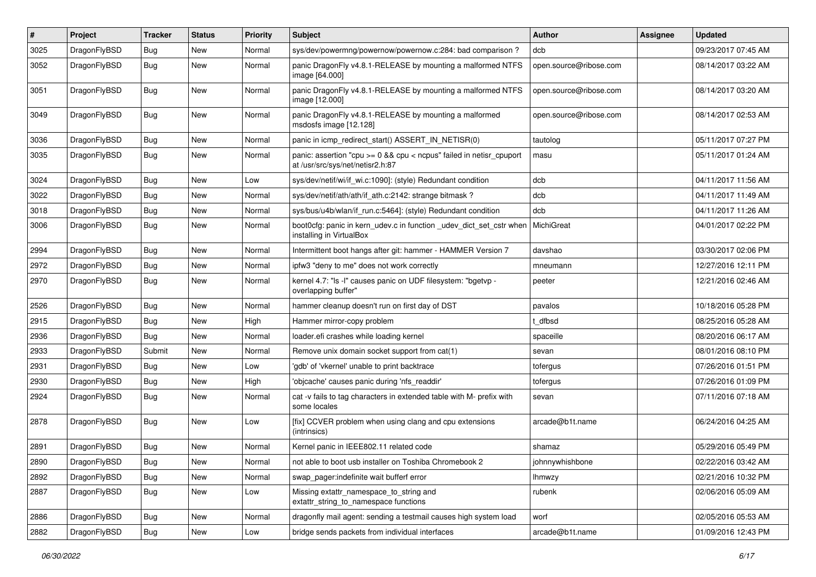| #    | Project      | <b>Tracker</b> | <b>Status</b> | <b>Priority</b> | <b>Subject</b>                                                                                            | Author                 | Assignee | <b>Updated</b>      |
|------|--------------|----------------|---------------|-----------------|-----------------------------------------------------------------------------------------------------------|------------------------|----------|---------------------|
| 3025 | DragonFlyBSD | <b>Bug</b>     | <b>New</b>    | Normal          | sys/dev/powermng/powernow/powernow.c:284: bad comparison?                                                 | dcb                    |          | 09/23/2017 07:45 AM |
| 3052 | DragonFlyBSD | Bug            | New           | Normal          | panic DragonFly v4.8.1-RELEASE by mounting a malformed NTFS<br>image [64.000]                             | open.source@ribose.com |          | 08/14/2017 03:22 AM |
| 3051 | DragonFlyBSD | Bug            | New           | Normal          | panic DragonFly v4.8.1-RELEASE by mounting a malformed NTFS<br>image [12.000]                             | open.source@ribose.com |          | 08/14/2017 03:20 AM |
| 3049 | DragonFlyBSD | Bug            | <b>New</b>    | Normal          | panic DragonFly v4.8.1-RELEASE by mounting a malformed<br>msdosfs image [12.128]                          | open.source@ribose.com |          | 08/14/2017 02:53 AM |
| 3036 | DragonFlyBSD | Bug            | <b>New</b>    | Normal          | panic in icmp_redirect_start() ASSERT_IN_NETISR(0)                                                        | tautolog               |          | 05/11/2017 07:27 PM |
| 3035 | DragonFlyBSD | <b>Bug</b>     | New           | Normal          | panic: assertion "cpu $>= 0$ && cpu < ncpus" failed in netisr cpuport<br>at /usr/src/sys/net/netisr2.h:87 | masu                   |          | 05/11/2017 01:24 AM |
| 3024 | DragonFlyBSD | Bug            | <b>New</b>    | Low             | sys/dev/netif/wi/if wi.c:1090]: (style) Redundant condition                                               | dcb                    |          | 04/11/2017 11:56 AM |
| 3022 | DragonFlyBSD | Bug            | New           | Normal          | sys/dev/netif/ath/ath/if ath.c:2142: strange bitmask?                                                     | dcb                    |          | 04/11/2017 11:49 AM |
| 3018 | DragonFlyBSD | <b>Bug</b>     | <b>New</b>    | Normal          | sys/bus/u4b/wlan/if_run.c:5464]: (style) Redundant condition                                              | dcb                    |          | 04/11/2017 11:26 AM |
| 3006 | DragonFlyBSD | <b>Bug</b>     | <b>New</b>    | Normal          | boot0cfg: panic in kern_udev.c in function _udev_dict_set_cstr when<br>installing in VirtualBox           | MichiGreat             |          | 04/01/2017 02:22 PM |
| 2994 | DragonFlyBSD | <b>Bug</b>     | <b>New</b>    | Normal          | Intermittent boot hangs after git: hammer - HAMMER Version 7                                              | davshao                |          | 03/30/2017 02:06 PM |
| 2972 | DragonFlyBSD | <b>Bug</b>     | New           | Normal          | ipfw3 "deny to me" does not work correctly                                                                | mneumann               |          | 12/27/2016 12:11 PM |
| 2970 | DragonFlyBSD | Bug            | <b>New</b>    | Normal          | kernel 4.7: "Is -I" causes panic on UDF filesystem: "bgetvp -<br>overlapping buffer"                      | peeter                 |          | 12/21/2016 02:46 AM |
| 2526 | DragonFlyBSD | <b>Bug</b>     | <b>New</b>    | Normal          | hammer cleanup doesn't run on first day of DST                                                            | pavalos                |          | 10/18/2016 05:28 PM |
| 2915 | DragonFlyBSD | <b>Bug</b>     | <b>New</b>    | High            | Hammer mirror-copy problem                                                                                | t dfbsd                |          | 08/25/2016 05:28 AM |
| 2936 | DragonFlyBSD | Bug            | New           | Normal          | loader.efi crashes while loading kernel                                                                   | spaceille              |          | 08/20/2016 06:17 AM |
| 2933 | DragonFlyBSD | Submit         | New           | Normal          | Remove unix domain socket support from cat(1)                                                             | sevan                  |          | 08/01/2016 08:10 PM |
| 2931 | DragonFlyBSD | Bug            | New           | Low             | 'gdb' of 'vkernel' unable to print backtrace                                                              | tofergus               |          | 07/26/2016 01:51 PM |
| 2930 | DragonFlyBSD | <b>Bug</b>     | <b>New</b>    | High            | 'objcache' causes panic during 'nfs readdir'                                                              | tofergus               |          | 07/26/2016 01:09 PM |
| 2924 | DragonFlyBSD | <b>Bug</b>     | <b>New</b>    | Normal          | cat -v fails to tag characters in extended table with M- prefix with<br>some locales                      | sevan                  |          | 07/11/2016 07:18 AM |
| 2878 | DragonFlyBSD | Bug            | New           | Low             | [fix] CCVER problem when using clang and cpu extensions<br>(intrinsics)                                   | arcade@b1t.name        |          | 06/24/2016 04:25 AM |
| 2891 | DragonFlyBSD | <b>Bug</b>     | <b>New</b>    | Normal          | Kernel panic in IEEE802.11 related code                                                                   | shamaz                 |          | 05/29/2016 05:49 PM |
| 2890 | DragonFlyBSD | <b>Bug</b>     | New           | Normal          | not able to boot usb installer on Toshiba Chromebook 2                                                    | johnnywhishbone        |          | 02/22/2016 03:42 AM |
| 2892 | DragonFlyBSD | Bug            | New           | Normal          | swap pager:indefinite wait bufferf error                                                                  | lhmwzy                 |          | 02/21/2016 10:32 PM |
| 2887 | DragonFlyBSD | <b>Bug</b>     | New           | Low             | Missing extattr_namespace_to_string and<br>extattr_string_to_namespace functions                          | rubenk                 |          | 02/06/2016 05:09 AM |
| 2886 | DragonFlyBSD | <b>Bug</b>     | New           | Normal          | dragonfly mail agent: sending a testmail causes high system load                                          | worf                   |          | 02/05/2016 05:53 AM |
| 2882 | DragonFlyBSD | <b>Bug</b>     | New           | Low             | bridge sends packets from individual interfaces                                                           | arcade@b1t.name        |          | 01/09/2016 12:43 PM |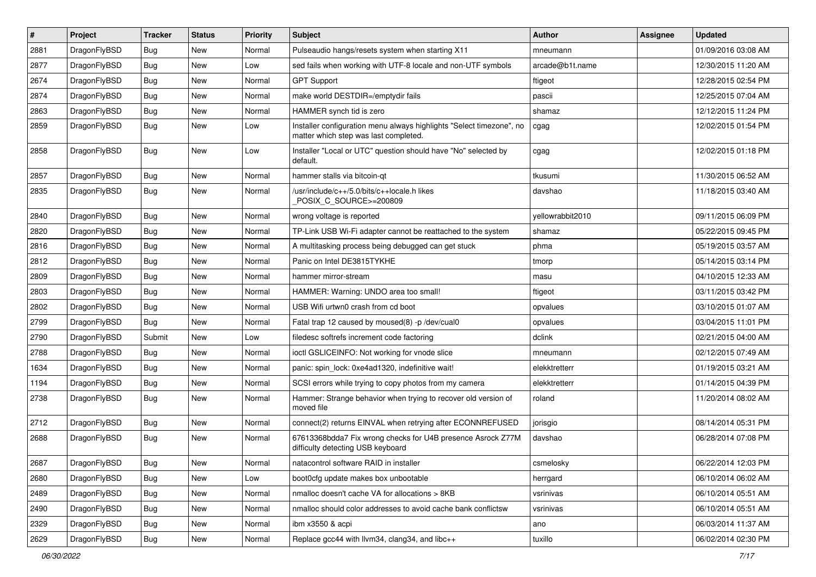| $\sharp$ | Project      | <b>Tracker</b> | <b>Status</b> | <b>Priority</b> | Subject                                                                                                       | <b>Author</b>    | Assignee | <b>Updated</b>      |
|----------|--------------|----------------|---------------|-----------------|---------------------------------------------------------------------------------------------------------------|------------------|----------|---------------------|
| 2881     | DragonFlyBSD | <b>Bug</b>     | New           | Normal          | Pulseaudio hangs/resets system when starting X11                                                              | mneumann         |          | 01/09/2016 03:08 AM |
| 2877     | DragonFlyBSD | <b>Bug</b>     | <b>New</b>    | Low             | sed fails when working with UTF-8 locale and non-UTF symbols                                                  | arcade@b1t.name  |          | 12/30/2015 11:20 AM |
| 2674     | DragonFlyBSD | <b>Bug</b>     | <b>New</b>    | Normal          | <b>GPT Support</b>                                                                                            | ftigeot          |          | 12/28/2015 02:54 PM |
| 2874     | DragonFlyBSD | <b>Bug</b>     | New           | Normal          | make world DESTDIR=/emptydir fails                                                                            | pascii           |          | 12/25/2015 07:04 AM |
| 2863     | DragonFlyBSD | <b>Bug</b>     | <b>New</b>    | Normal          | HAMMER synch tid is zero                                                                                      | shamaz           |          | 12/12/2015 11:24 PM |
| 2859     | DragonFlyBSD | <b>Bug</b>     | New           | Low             | Installer configuration menu always highlights "Select timezone", no<br>matter which step was last completed. | cgag             |          | 12/02/2015 01:54 PM |
| 2858     | DragonFlyBSD | <b>Bug</b>     | New           | Low             | Installer "Local or UTC" question should have "No" selected by<br>default.                                    | cgag             |          | 12/02/2015 01:18 PM |
| 2857     | DragonFlyBSD | Bug            | <b>New</b>    | Normal          | hammer stalls via bitcoin-qt                                                                                  | tkusumi          |          | 11/30/2015 06:52 AM |
| 2835     | DragonFlyBSD | Bug            | <b>New</b>    | Normal          | /usr/include/c++/5.0/bits/c++locale.h likes<br>POSIX_C_SOURCE>=200809                                         | davshao          |          | 11/18/2015 03:40 AM |
| 2840     | DragonFlyBSD | Bug            | New           | Normal          | wrong voltage is reported                                                                                     | yellowrabbit2010 |          | 09/11/2015 06:09 PM |
| 2820     | DragonFlyBSD | Bug            | New           | Normal          | TP-Link USB Wi-Fi adapter cannot be reattached to the system                                                  | shamaz           |          | 05/22/2015 09:45 PM |
| 2816     | DragonFlyBSD | Bug            | New           | Normal          | A multitasking process being debugged can get stuck                                                           | phma             |          | 05/19/2015 03:57 AM |
| 2812     | DragonFlyBSD | Bug            | New           | Normal          | Panic on Intel DE3815TYKHE                                                                                    | tmorp            |          | 05/14/2015 03:14 PM |
| 2809     | DragonFlyBSD | Bug            | <b>New</b>    | Normal          | hammer mirror-stream                                                                                          | masu             |          | 04/10/2015 12:33 AM |
| 2803     | DragonFlyBSD | Bug            | New           | Normal          | HAMMER: Warning: UNDO area too small!                                                                         | ftigeot          |          | 03/11/2015 03:42 PM |
| 2802     | DragonFlyBSD | Bug            | <b>New</b>    | Normal          | USB Wifi urtwn0 crash from cd boot                                                                            | opvalues         |          | 03/10/2015 01:07 AM |
| 2799     | DragonFlyBSD | Bug            | New           | Normal          | Fatal trap 12 caused by moused(8) -p/dev/cual0                                                                | opvalues         |          | 03/04/2015 11:01 PM |
| 2790     | DragonFlyBSD | Submit         | <b>New</b>    | Low             | filedesc softrefs increment code factoring                                                                    | dclink           |          | 02/21/2015 04:00 AM |
| 2788     | DragonFlyBSD | <b>Bug</b>     | New           | Normal          | ioctl GSLICEINFO: Not working for vnode slice                                                                 | mneumann         |          | 02/12/2015 07:49 AM |
| 1634     | DragonFlyBSD | Bug            | New           | Normal          | panic: spin_lock: 0xe4ad1320, indefinitive wait!                                                              | elekktretterr    |          | 01/19/2015 03:21 AM |
| 1194     | DragonFlyBSD | Bug            | New           | Normal          | SCSI errors while trying to copy photos from my camera                                                        | elekktretterr    |          | 01/14/2015 04:39 PM |
| 2738     | DragonFlyBSD | <b>Bug</b>     | New           | Normal          | Hammer: Strange behavior when trying to recover old version of<br>moved file                                  | roland           |          | 11/20/2014 08:02 AM |
| 2712     | DragonFlyBSD | <b>Bug</b>     | New           | Normal          | connect(2) returns EINVAL when retrying after ECONNREFUSED                                                    | jorisgio         |          | 08/14/2014 05:31 PM |
| 2688     | DragonFlyBSD | <b>Bug</b>     | <b>New</b>    | Normal          | 67613368bdda7 Fix wrong checks for U4B presence Asrock Z77M<br>difficulty detecting USB keyboard              | davshao          |          | 06/28/2014 07:08 PM |
| 2687     | DragonFlyBSD | <b>Bug</b>     | <b>New</b>    | Normal          | natacontrol software RAID in installer                                                                        | csmelosky        |          | 06/22/2014 12:03 PM |
| 2680     | DragonFlyBSD | <b>Bug</b>     | <b>New</b>    | Low             | boot0cfg update makes box unbootable                                                                          | herrgard         |          | 06/10/2014 06:02 AM |
| 2489     | DragonFlyBSD | <b>Bug</b>     | New           | Normal          | nmalloc doesn't cache VA for allocations > 8KB                                                                | vsrinivas        |          | 06/10/2014 05:51 AM |
| 2490     | DragonFlyBSD | <b>Bug</b>     | New           | Normal          | nmalloc should color addresses to avoid cache bank conflictsw                                                 | vsrinivas        |          | 06/10/2014 05:51 AM |
| 2329     | DragonFlyBSD | <b>Bug</b>     | New           | Normal          | ibm x3550 & acpi                                                                                              | ano              |          | 06/03/2014 11:37 AM |
| 2629     | DragonFlyBSD | <b>Bug</b>     | New           | Normal          | Replace gcc44 with llvm34, clang34, and libc++                                                                | tuxillo          |          | 06/02/2014 02:30 PM |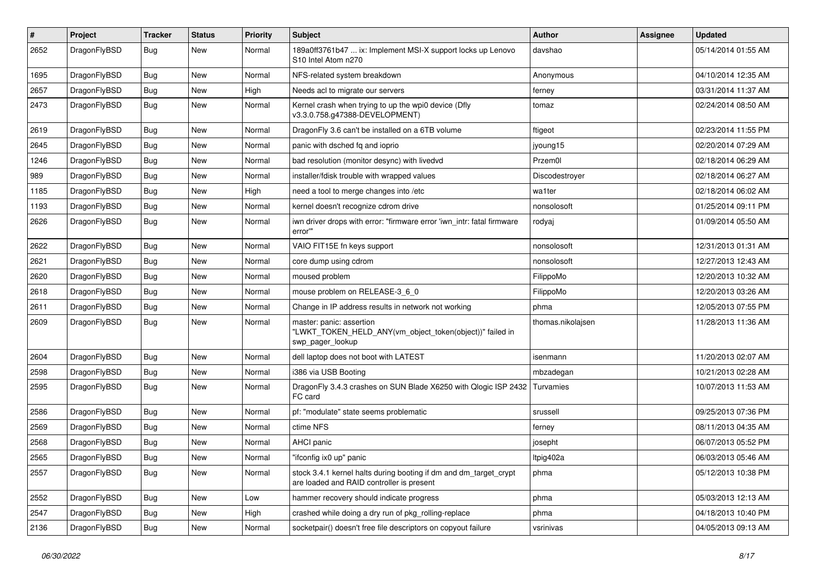| #    | Project      | <b>Tracker</b> | <b>Status</b> | <b>Priority</b> | Subject                                                                                                        | <b>Author</b>     | Assignee | <b>Updated</b>      |
|------|--------------|----------------|---------------|-----------------|----------------------------------------------------------------------------------------------------------------|-------------------|----------|---------------------|
| 2652 | DragonFlyBSD | <b>Bug</b>     | <b>New</b>    | Normal          | 189a0ff3761b47  ix: Implement MSI-X support locks up Lenovo<br>S10 Intel Atom n270                             | davshao           |          | 05/14/2014 01:55 AM |
| 1695 | DragonFlyBSD | <b>Bug</b>     | <b>New</b>    | Normal          | NFS-related system breakdown                                                                                   | Anonymous         |          | 04/10/2014 12:35 AM |
| 2657 | DragonFlyBSD | <b>Bug</b>     | <b>New</b>    | High            | Needs acl to migrate our servers                                                                               | ferney            |          | 03/31/2014 11:37 AM |
| 2473 | DragonFlyBSD | <b>Bug</b>     | <b>New</b>    | Normal          | Kernel crash when trying to up the wpi0 device (Dfly<br>v3.3.0.758.g47388-DEVELOPMENT)                         | tomaz             |          | 02/24/2014 08:50 AM |
| 2619 | DragonFlyBSD | <b>Bug</b>     | <b>New</b>    | Normal          | DragonFly 3.6 can't be installed on a 6TB volume                                                               | ftigeot           |          | 02/23/2014 11:55 PM |
| 2645 | DragonFlyBSD | <b>Bug</b>     | <b>New</b>    | Normal          | panic with dsched fq and ioprio                                                                                | jyoung15          |          | 02/20/2014 07:29 AM |
| 1246 | DragonFlyBSD | <b>Bug</b>     | <b>New</b>    | Normal          | bad resolution (monitor desync) with livedvd                                                                   | Przem0l           |          | 02/18/2014 06:29 AM |
| 989  | DragonFlyBSD | <b>Bug</b>     | <b>New</b>    | Normal          | installer/fdisk trouble with wrapped values                                                                    | Discodestroyer    |          | 02/18/2014 06:27 AM |
| 1185 | DragonFlyBSD | <b>Bug</b>     | <b>New</b>    | High            | need a tool to merge changes into /etc                                                                         | wa1ter            |          | 02/18/2014 06:02 AM |
| 1193 | DragonFlyBSD | <b>Bug</b>     | <b>New</b>    | Normal          | kernel doesn't recognize cdrom drive                                                                           | nonsolosoft       |          | 01/25/2014 09:11 PM |
| 2626 | DragonFlyBSD | Bug            | New           | Normal          | iwn driver drops with error: "firmware error 'iwn_intr: fatal firmware<br>error""                              | rodyaj            |          | 01/09/2014 05:50 AM |
| 2622 | DragonFlyBSD | Bug            | <b>New</b>    | Normal          | VAIO FIT15E fn keys support                                                                                    | nonsolosoft       |          | 12/31/2013 01:31 AM |
| 2621 | DragonFlyBSD | <b>Bug</b>     | <b>New</b>    | Normal          | core dump using cdrom                                                                                          | nonsolosoft       |          | 12/27/2013 12:43 AM |
| 2620 | DragonFlyBSD | <b>Bug</b>     | <b>New</b>    | Normal          | moused problem                                                                                                 | FilippoMo         |          | 12/20/2013 10:32 AM |
| 2618 | DragonFlyBSD | Bug            | <b>New</b>    | Normal          | mouse problem on RELEASE-3 6 0                                                                                 | FilippoMo         |          | 12/20/2013 03:26 AM |
| 2611 | DragonFlyBSD | <b>Bug</b>     | <b>New</b>    | Normal          | Change in IP address results in network not working                                                            | phma              |          | 12/05/2013 07:55 PM |
| 2609 | DragonFlyBSD | Bug            | New           | Normal          | master: panic: assertion<br>"LWKT_TOKEN_HELD_ANY(vm_object_token(object))" failed in<br>swp pager lookup       | thomas.nikolajsen |          | 11/28/2013 11:36 AM |
| 2604 | DragonFlyBSD | Bug            | <b>New</b>    | Normal          | dell laptop does not boot with LATEST                                                                          | isenmann          |          | 11/20/2013 02:07 AM |
| 2598 | DragonFlyBSD | <b>Bug</b>     | <b>New</b>    | Normal          | i386 via USB Booting                                                                                           | mbzadegan         |          | 10/21/2013 02:28 AM |
| 2595 | DragonFlyBSD | Bug            | New           | Normal          | DragonFly 3.4.3 crashes on SUN Blade X6250 with Qlogic ISP 2432<br>FC card                                     | Turvamies         |          | 10/07/2013 11:53 AM |
| 2586 | DragonFlyBSD | Bug            | <b>New</b>    | Normal          | pf: "modulate" state seems problematic                                                                         | srussell          |          | 09/25/2013 07:36 PM |
| 2569 | DragonFlyBSD | <b>Bug</b>     | <b>New</b>    | Normal          | ctime NFS                                                                                                      | ferney            |          | 08/11/2013 04:35 AM |
| 2568 | DragonFlyBSD | <b>Bug</b>     | <b>New</b>    | Normal          | AHCI panic                                                                                                     | josepht           |          | 06/07/2013 05:52 PM |
| 2565 | DragonFlyBSD | Bug            | <b>New</b>    | Normal          | "ifconfig ix0 up" panic                                                                                        | Itpig402a         |          | 06/03/2013 05:46 AM |
| 2557 | DragonFlyBSD | Bug            | New           | Normal          | stock 3.4.1 kernel halts during booting if dm and dm target crypt<br>are loaded and RAID controller is present | phma              |          | 05/12/2013 10:38 PM |
| 2552 | DragonFlyBSD | <b>Bug</b>     | New           | Low             | hammer recovery should indicate progress                                                                       | phma              |          | 05/03/2013 12:13 AM |
| 2547 | DragonFlyBSD | Bug            | New           | High            | crashed while doing a dry run of pkg_rolling-replace                                                           | phma              |          | 04/18/2013 10:40 PM |
| 2136 | DragonFlyBSD | Bug            | New           | Normal          | socketpair() doesn't free file descriptors on copyout failure                                                  | vsrinivas         |          | 04/05/2013 09:13 AM |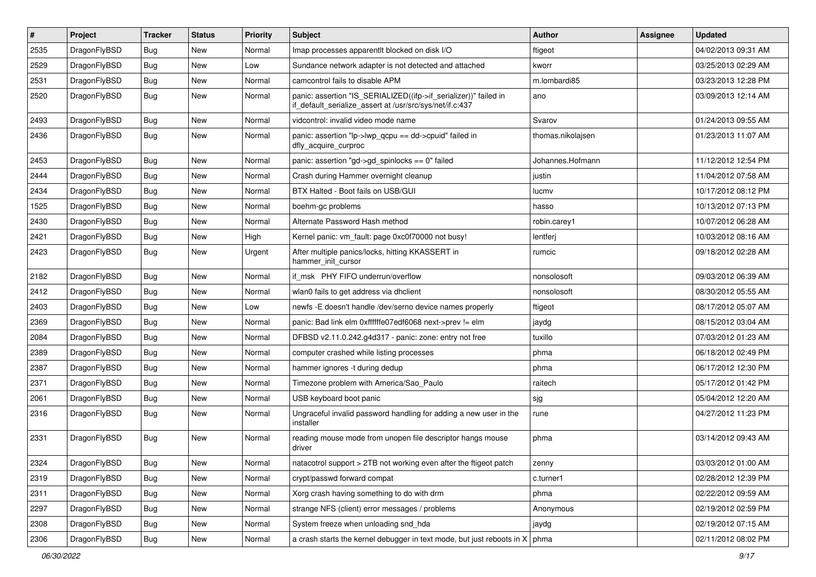| $\sharp$ | Project      | <b>Tracker</b> | <b>Status</b> | <b>Priority</b> | Subject                                                                                                                      | <b>Author</b>     | Assignee | <b>Updated</b>      |
|----------|--------------|----------------|---------------|-----------------|------------------------------------------------------------------------------------------------------------------------------|-------------------|----------|---------------------|
| 2535     | DragonFlyBSD | <b>Bug</b>     | <b>New</b>    | Normal          | Imap processes apparentlt blocked on disk I/O                                                                                | ftigeot           |          | 04/02/2013 09:31 AM |
| 2529     | DragonFlyBSD | <b>Bug</b>     | New           | Low             | Sundance network adapter is not detected and attached                                                                        | kworr             |          | 03/25/2013 02:29 AM |
| 2531     | DragonFlyBSD | <b>Bug</b>     | <b>New</b>    | Normal          | camcontrol fails to disable APM                                                                                              | m.lombardi85      |          | 03/23/2013 12:28 PM |
| 2520     | DragonFlyBSD | <b>Bug</b>     | <b>New</b>    | Normal          | panic: assertion "IS_SERIALIZED((ifp->if_serializer))" failed in<br>if_default_serialize_assert at /usr/src/sys/net/if.c:437 | ano               |          | 03/09/2013 12:14 AM |
| 2493     | DragonFlyBSD | <b>Bug</b>     | New           | Normal          | vidcontrol: invalid video mode name                                                                                          | Svarov            |          | 01/24/2013 09:55 AM |
| 2436     | DragonFlyBSD | <b>Bug</b>     | New           | Normal          | panic: assertion "lp->lwp_qcpu == dd->cpuid" failed in<br>dfly_acquire_curproc                                               | thomas.nikolajsen |          | 01/23/2013 11:07 AM |
| 2453     | DragonFlyBSD | <b>Bug</b>     | <b>New</b>    | Normal          | panic: assertion "gd->gd_spinlocks == 0" failed                                                                              | Johannes.Hofmann  |          | 11/12/2012 12:54 PM |
| 2444     | DragonFlyBSD | <b>Bug</b>     | New           | Normal          | Crash during Hammer overnight cleanup                                                                                        | justin            |          | 11/04/2012 07:58 AM |
| 2434     | DragonFlyBSD | <b>Bug</b>     | <b>New</b>    | Normal          | BTX Halted - Boot fails on USB/GUI                                                                                           | lucmv             |          | 10/17/2012 08:12 PM |
| 1525     | DragonFlyBSD | <b>Bug</b>     | <b>New</b>    | Normal          | boehm-gc problems                                                                                                            | hasso             |          | 10/13/2012 07:13 PM |
| 2430     | DragonFlyBSD | <b>Bug</b>     | New           | Normal          | Alternate Password Hash method                                                                                               | robin.carey1      |          | 10/07/2012 06:28 AM |
| 2421     | DragonFlyBSD | <b>Bug</b>     | New           | High            | Kernel panic: vm_fault: page 0xc0f70000 not busy!                                                                            | lentferj          |          | 10/03/2012 08:16 AM |
| 2423     | DragonFlyBSD | <b>Bug</b>     | New           | Urgent          | After multiple panics/locks, hitting KKASSERT in<br>hammer init cursor                                                       | rumcic            |          | 09/18/2012 02:28 AM |
| 2182     | DragonFlyBSD | <b>Bug</b>     | <b>New</b>    | Normal          | if msk PHY FIFO underrun/overflow                                                                                            | nonsolosoft       |          | 09/03/2012 06:39 AM |
| 2412     | DragonFlyBSD | <b>Bug</b>     | <b>New</b>    | Normal          | wlan0 fails to get address via dhclient                                                                                      | nonsolosoft       |          | 08/30/2012 05:55 AM |
| 2403     | DragonFlyBSD | <b>Bug</b>     | New           | Low             | newfs -E doesn't handle /dev/serno device names properly                                                                     | ftigeot           |          | 08/17/2012 05:07 AM |
| 2369     | DragonFlyBSD | <b>Bug</b>     | New           | Normal          | panic: Bad link elm 0xffffffe07edf6068 next->prev != elm                                                                     | jaydg             |          | 08/15/2012 03:04 AM |
| 2084     | DragonFlyBSD | Bug            | New           | Normal          | DFBSD v2.11.0.242.g4d317 - panic: zone: entry not free                                                                       | tuxillo           |          | 07/03/2012 01:23 AM |
| 2389     | DragonFlyBSD | Bug            | New           | Normal          | computer crashed while listing processes                                                                                     | phma              |          | 06/18/2012 02:49 PM |
| 2387     | DragonFlyBSD | Bug            | <b>New</b>    | Normal          | hammer ignores -t during dedup                                                                                               | phma              |          | 06/17/2012 12:30 PM |
| 2371     | DragonFlyBSD | Bug            | New           | Normal          | Timezone problem with America/Sao_Paulo                                                                                      | raitech           |          | 05/17/2012 01:42 PM |
| 2061     | DragonFlyBSD | Bug            | New           | Normal          | USB keyboard boot panic                                                                                                      | sjg               |          | 05/04/2012 12:20 AM |
| 2316     | DragonFlyBSD | Bug            | New           | Normal          | Ungraceful invalid password handling for adding a new user in the<br>installer                                               | rune              |          | 04/27/2012 11:23 PM |
| 2331     | DragonFlyBSD | Bug            | New           | Normal          | reading mouse mode from unopen file descriptor hangs mouse<br>driver                                                         | phma              |          | 03/14/2012 09:43 AM |
| 2324     | DragonFlyBSD | <b>Bug</b>     | <b>New</b>    | Normal          | natacotrol support > 2TB not working even after the ftigeot patch                                                            | zenny             |          | 03/03/2012 01:00 AM |
| 2319     | DragonFlyBSD | <b>Bug</b>     | New           | Normal          | crypt/passwd forward compat                                                                                                  | c.turner1         |          | 02/28/2012 12:39 PM |
| 2311     | DragonFlyBSD | <b>Bug</b>     | New           | Normal          | Xorg crash having something to do with drm                                                                                   | phma              |          | 02/22/2012 09:59 AM |
| 2297     | DragonFlyBSD | <b>Bug</b>     | New           | Normal          | strange NFS (client) error messages / problems                                                                               | Anonymous         |          | 02/19/2012 02:59 PM |
| 2308     | DragonFlyBSD | <b>Bug</b>     | <b>New</b>    | Normal          | System freeze when unloading snd_hda                                                                                         | jaydg             |          | 02/19/2012 07:15 AM |
| 2306     | DragonFlyBSD | Bug            | New           | Normal          | a crash starts the kernel debugger in text mode, but just reboots in $X \mid p$ hma                                          |                   |          | 02/11/2012 08:02 PM |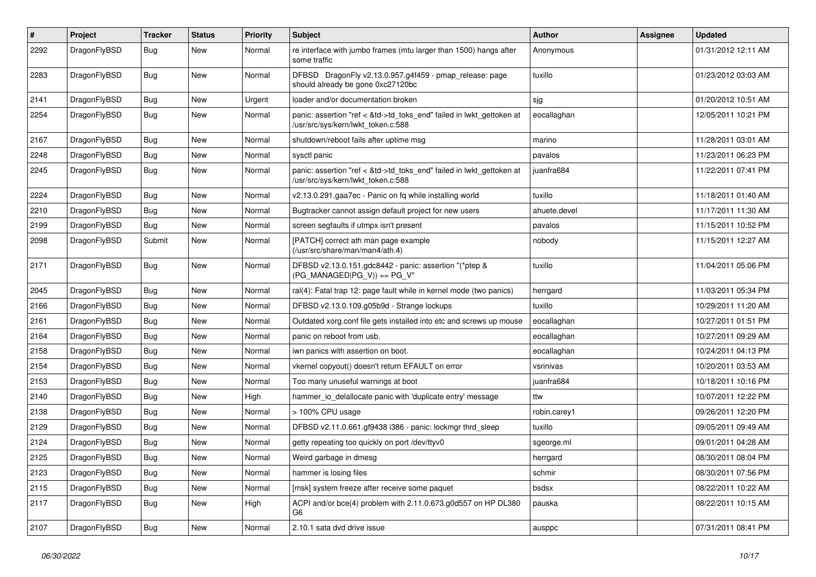| #    | Project      | <b>Tracker</b> | <b>Status</b> | <b>Priority</b> | Subject                                                                                                    | <b>Author</b> | Assignee | <b>Updated</b>      |
|------|--------------|----------------|---------------|-----------------|------------------------------------------------------------------------------------------------------------|---------------|----------|---------------------|
| 2292 | DragonFlyBSD | <b>Bug</b>     | New           | Normal          | re interface with jumbo frames (mtu larger than 1500) hangs after<br>some traffic                          | Anonymous     |          | 01/31/2012 12:11 AM |
| 2283 | DragonFlyBSD | Bug            | New           | Normal          | DFBSD DragonFly v2.13.0.957.g4f459 - pmap_release: page<br>should already be gone 0xc27120bc               | tuxillo       |          | 01/23/2012 03:03 AM |
| 2141 | DragonFlyBSD | Bug            | <b>New</b>    | Urgent          | loader and/or documentation broken                                                                         | sjg           |          | 01/20/2012 10:51 AM |
| 2254 | DragonFlyBSD | <b>Bug</b>     | New           | Normal          | panic: assertion "ref < &td->td toks end" failed in lwkt gettoken at<br>/usr/src/sys/kern/lwkt_token.c:588 | eocallaghan   |          | 12/05/2011 10:21 PM |
| 2167 | DragonFlyBSD | Bug            | New           | Normal          | shutdown/reboot fails after uptime msg                                                                     | marino        |          | 11/28/2011 03:01 AM |
| 2248 | DragonFlyBSD | Bug            | <b>New</b>    | Normal          | sysctl panic                                                                                               | pavalos       |          | 11/23/2011 06:23 PM |
| 2245 | DragonFlyBSD | Bug            | New           | Normal          | panic: assertion "ref < &td->td toks end" failed in lwkt gettoken at<br>/usr/src/sys/kern/lwkt_token.c:588 | juanfra684    |          | 11/22/2011 07:41 PM |
| 2224 | DragonFlyBSD | Bug            | New           | Normal          | v2.13.0.291.gaa7ec - Panic on fq while installing world                                                    | tuxillo       |          | 11/18/2011 01:40 AM |
| 2210 | DragonFlyBSD | Bug            | New           | Normal          | Bugtracker cannot assign default project for new users                                                     | ahuete.devel  |          | 11/17/2011 11:30 AM |
| 2199 | DragonFlyBSD | <b>Bug</b>     | New           | Normal          | screen segfaults if utmpx isn't present                                                                    | pavalos       |          | 11/15/2011 10:52 PM |
| 2098 | DragonFlyBSD | Submit         | New           | Normal          | [PATCH] correct ath man page example<br>(/usr/src/share/man/man4/ath.4)                                    | nobody        |          | 11/15/2011 12:27 AM |
| 2171 | DragonFlyBSD | Bug            | New           | Normal          | DFBSD v2.13.0.151.gdc8442 - panic: assertion "(*ptep &<br>$(PG_MANAGED PG_V)$ == PG_V"                     | tuxillo       |          | 11/04/2011 05:06 PM |
| 2045 | DragonFlyBSD | <b>Bug</b>     | New           | Normal          | ral(4): Fatal trap 12: page fault while in kernel mode (two panics)                                        | herrgard      |          | 11/03/2011 05:34 PM |
| 2166 | DragonFlyBSD | <b>Bug</b>     | New           | Normal          | DFBSD v2.13.0.109.g05b9d - Strange lockups                                                                 | tuxillo       |          | 10/29/2011 11:20 AM |
| 2161 | DragonFlyBSD | Bug            | <b>New</b>    | Normal          | Outdated xorg.conf file gets installed into etc and screws up mouse                                        | eocallaghan   |          | 10/27/2011 01:51 PM |
| 2164 | DragonFlyBSD | <b>Bug</b>     | New           | Normal          | panic on reboot from usb.                                                                                  | eocallaghan   |          | 10/27/2011 09:29 AM |
| 2158 | DragonFlyBSD | <b>Bug</b>     | New           | Normal          | iwn panics with assertion on boot.                                                                         | eocallaghan   |          | 10/24/2011 04:13 PM |
| 2154 | DragonFlyBSD | <b>Bug</b>     | <b>New</b>    | Normal          | vkernel copyout() doesn't return EFAULT on error                                                           | vsrinivas     |          | 10/20/2011 03:53 AM |
| 2153 | DragonFlyBSD | <b>Bug</b>     | New           | Normal          | Too many unuseful warnings at boot                                                                         | juanfra684    |          | 10/18/2011 10:16 PM |
| 2140 | DragonFlyBSD | Bug            | New           | High            | hammer_io_delallocate panic with 'duplicate entry' message                                                 | ttw           |          | 10/07/2011 12:22 PM |
| 2138 | DragonFlyBSD | <b>Bug</b>     | New           | Normal          | > 100% CPU usage                                                                                           | robin.carey1  |          | 09/26/2011 12:20 PM |
| 2129 | DragonFlyBSD | <b>Bug</b>     | <b>New</b>    | Normal          | DFBSD v2.11.0.661.gf9438 i386 - panic: lockmgr thrd_sleep                                                  | tuxillo       |          | 09/05/2011 09:49 AM |
| 2124 | DragonFlyBSD | <b>Bug</b>     | New           | Normal          | getty repeating too quickly on port /dev/ttyv0                                                             | sgeorge.ml    |          | 09/01/2011 04:28 AM |
| 2125 | DragonFlyBSD | Bug            | <b>New</b>    | Normal          | Weird garbage in dmesg                                                                                     | herrgard      |          | 08/30/2011 08:04 PM |
| 2123 | DragonFlyBSD | <b>Bug</b>     | New           | Normal          | hammer is losing files                                                                                     | schmir        |          | 08/30/2011 07:56 PM |
| 2115 | DragonFlyBSD | <b>Bug</b>     | New           | Normal          | [msk] system freeze after receive some paquet                                                              | bsdsx         |          | 08/22/2011 10:22 AM |
| 2117 | DragonFlyBSD | <b>Bug</b>     | New           | High            | ACPI and/or bce(4) problem with 2.11.0.673.g0d557 on HP DL380<br>G <sub>6</sub>                            | pauska        |          | 08/22/2011 10:15 AM |
| 2107 | DragonFlyBSD | <b>Bug</b>     | New           | Normal          | 2.10.1 sata dvd drive issue                                                                                | ausppc        |          | 07/31/2011 08:41 PM |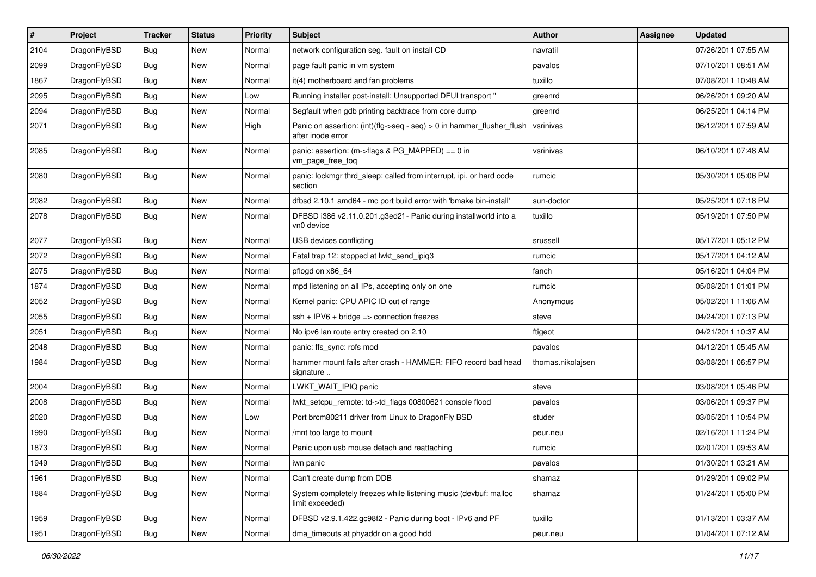| $\vert$ # | Project      | <b>Tracker</b> | <b>Status</b> | <b>Priority</b> | <b>Subject</b>                                                                             | <b>Author</b>     | Assignee | <b>Updated</b>      |
|-----------|--------------|----------------|---------------|-----------------|--------------------------------------------------------------------------------------------|-------------------|----------|---------------------|
| 2104      | DragonFlyBSD | <b>Bug</b>     | <b>New</b>    | Normal          | network configuration seg. fault on install CD                                             | navratil          |          | 07/26/2011 07:55 AM |
| 2099      | DragonFlyBSD | <b>Bug</b>     | <b>New</b>    | Normal          | page fault panic in vm system                                                              | pavalos           |          | 07/10/2011 08:51 AM |
| 1867      | DragonFlyBSD | <b>Bug</b>     | <b>New</b>    | Normal          | it(4) motherboard and fan problems                                                         | tuxillo           |          | 07/08/2011 10:48 AM |
| 2095      | DragonFlyBSD | Bug            | <b>New</b>    | Low             | Running installer post-install: Unsupported DFUI transport "                               | greenrd           |          | 06/26/2011 09:20 AM |
| 2094      | DragonFlyBSD | <b>Bug</b>     | <b>New</b>    | Normal          | Segfault when gdb printing backtrace from core dump                                        | greenrd           |          | 06/25/2011 04:14 PM |
| 2071      | DragonFlyBSD | Bug            | New           | High            | Panic on assertion: (int)(flg->seg - seg) > 0 in hammer flusher flush<br>after inode error | vsrinivas         |          | 06/12/2011 07:59 AM |
| 2085      | DragonFlyBSD | <b>Bug</b>     | New           | Normal          | panic: assertion: (m->flags & PG_MAPPED) == 0 in<br>vm_page_free_toq                       | vsrinivas         |          | 06/10/2011 07:48 AM |
| 2080      | DragonFlyBSD | Bug            | New           | Normal          | panic: lockmgr thrd sleep: called from interrupt, ipi, or hard code<br>section             | rumcic            |          | 05/30/2011 05:06 PM |
| 2082      | DragonFlyBSD | Bug            | <b>New</b>    | Normal          | dfbsd 2.10.1 amd64 - mc port build error with 'bmake bin-install'                          | sun-doctor        |          | 05/25/2011 07:18 PM |
| 2078      | DragonFlyBSD | Bug            | <b>New</b>    | Normal          | DFBSD i386 v2.11.0.201.g3ed2f - Panic during installworld into a<br>vn0 device             | tuxillo           |          | 05/19/2011 07:50 PM |
| 2077      | DragonFlyBSD | Bug            | <b>New</b>    | Normal          | USB devices conflicting                                                                    | srussell          |          | 05/17/2011 05:12 PM |
| 2072      | DragonFlyBSD | <b>Bug</b>     | <b>New</b>    | Normal          | Fatal trap 12: stopped at lwkt_send_ipiq3                                                  | rumcic            |          | 05/17/2011 04:12 AM |
| 2075      | DragonFlyBSD | Bug            | <b>New</b>    | Normal          | pflogd on x86 64                                                                           | fanch             |          | 05/16/2011 04:04 PM |
| 1874      | DragonFlyBSD | Bug            | <b>New</b>    | Normal          | mpd listening on all IPs, accepting only on one                                            | rumcic            |          | 05/08/2011 01:01 PM |
| 2052      | DragonFlyBSD | <b>Bug</b>     | <b>New</b>    | Normal          | Kernel panic: CPU APIC ID out of range                                                     | Anonymous         |          | 05/02/2011 11:06 AM |
| 2055      | DragonFlyBSD | Bug            | <b>New</b>    | Normal          | $ssh + IPV6 + bridge \Rightarrow connection freezes$                                       | steve             |          | 04/24/2011 07:13 PM |
| 2051      | DragonFlyBSD | Bug            | <b>New</b>    | Normal          | No ipv6 lan route entry created on 2.10                                                    | ftigeot           |          | 04/21/2011 10:37 AM |
| 2048      | DragonFlyBSD | <b>Bug</b>     | New           | Normal          | panic: ffs sync: rofs mod                                                                  | pavalos           |          | 04/12/2011 05:45 AM |
| 1984      | DragonFlyBSD | <b>Bug</b>     | <b>New</b>    | Normal          | hammer mount fails after crash - HAMMER: FIFO record bad head<br>signature                 | thomas.nikolajsen |          | 03/08/2011 06:57 PM |
| 2004      | DragonFlyBSD | Bug            | <b>New</b>    | Normal          | LWKT_WAIT_IPIQ panic                                                                       | steve             |          | 03/08/2011 05:46 PM |
| 2008      | DragonFlyBSD | Bug            | <b>New</b>    | Normal          | lwkt_setcpu_remote: td->td_flags 00800621 console flood                                    | pavalos           |          | 03/06/2011 09:37 PM |
| 2020      | DragonFlyBSD | Bug            | <b>New</b>    | Low             | Port brcm80211 driver from Linux to DragonFly BSD                                          | studer            |          | 03/05/2011 10:54 PM |
| 1990      | DragonFlyBSD | Bug            | <b>New</b>    | Normal          | /mnt too large to mount                                                                    | peur.neu          |          | 02/16/2011 11:24 PM |
| 1873      | DragonFlyBSD | <b>Bug</b>     | <b>New</b>    | Normal          | Panic upon usb mouse detach and reattaching                                                | rumcic            |          | 02/01/2011 09:53 AM |
| 1949      | DragonFlyBSD | <b>Bug</b>     | New           | Normal          | <b>IWN panic</b>                                                                           | pavalos           |          | 01/30/2011 03:21 AM |
| 1961      | DragonFlyBSD | Bug            | New           | Normal          | Can't create dump from DDB                                                                 | shamaz            |          | 01/29/2011 09:02 PM |
| 1884      | DragonFlyBSD | <b>Bug</b>     | New           | Normal          | System completely freezes while listening music (devbuf: malloc<br>limit exceeded)         | shamaz            |          | 01/24/2011 05:00 PM |
| 1959      | DragonFlyBSD | <b>Bug</b>     | New           | Normal          | DFBSD v2.9.1.422.gc98f2 - Panic during boot - IPv6 and PF                                  | tuxillo           |          | 01/13/2011 03:37 AM |
| 1951      | DragonFlyBSD | Bug            | New           | Normal          | dma timeouts at phyaddr on a good hdd                                                      | peur.neu          |          | 01/04/2011 07:12 AM |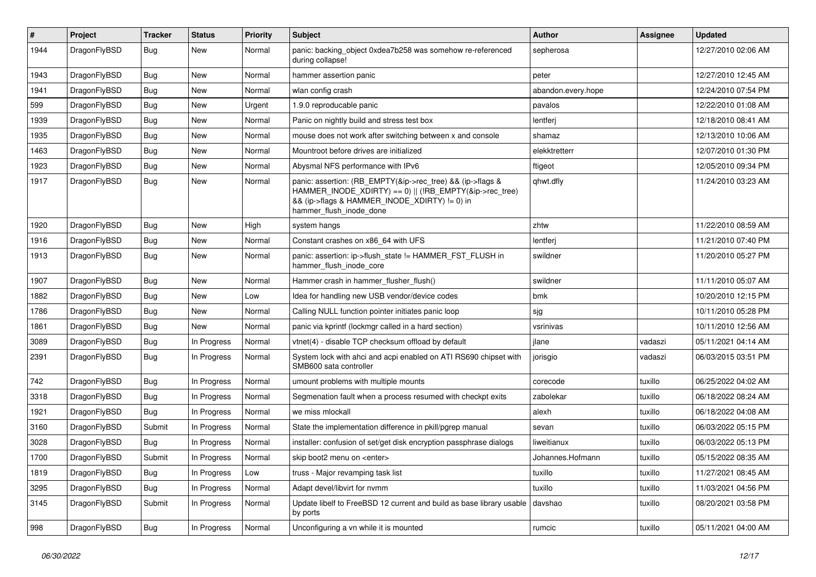| $\pmb{\#}$ | Project      | <b>Tracker</b> | <b>Status</b> | <b>Priority</b> | Subject                                                                                                                                                                                           | Author             | <b>Assignee</b> | <b>Updated</b>      |
|------------|--------------|----------------|---------------|-----------------|---------------------------------------------------------------------------------------------------------------------------------------------------------------------------------------------------|--------------------|-----------------|---------------------|
| 1944       | DragonFlyBSD | Bug            | New           | Normal          | panic: backing object 0xdea7b258 was somehow re-referenced<br>during collapse!                                                                                                                    | sepherosa          |                 | 12/27/2010 02:06 AM |
| 1943       | DragonFlyBSD | <b>Bug</b>     | <b>New</b>    | Normal          | hammer assertion panic                                                                                                                                                                            | peter              |                 | 12/27/2010 12:45 AM |
| 1941       | DragonFlyBSD | Bug            | New           | Normal          | wlan config crash                                                                                                                                                                                 | abandon.every.hope |                 | 12/24/2010 07:54 PM |
| 599        | DragonFlyBSD | <b>Bug</b>     | <b>New</b>    | Urgent          | 1.9.0 reproducable panic                                                                                                                                                                          | pavalos            |                 | 12/22/2010 01:08 AM |
| 1939       | DragonFlyBSD | <b>Bug</b>     | New           | Normal          | Panic on nightly build and stress test box                                                                                                                                                        | lentferj           |                 | 12/18/2010 08:41 AM |
| 1935       | DragonFlyBSD | <b>Bug</b>     | <b>New</b>    | Normal          | mouse does not work after switching between x and console                                                                                                                                         | shamaz             |                 | 12/13/2010 10:06 AM |
| 1463       | DragonFlyBSD | <b>Bug</b>     | New           | Normal          | Mountroot before drives are initialized                                                                                                                                                           | elekktretterr      |                 | 12/07/2010 01:30 PM |
| 1923       | DragonFlyBSD | Bug            | <b>New</b>    | Normal          | Abysmal NFS performance with IPv6                                                                                                                                                                 | ftigeot            |                 | 12/05/2010 09:34 PM |
| 1917       | DragonFlyBSD | Bug            | New           | Normal          | panic: assertion: (RB_EMPTY(&ip->rec_tree) && (ip->flags &<br>HAMMER_INODE_XDIRTY) == 0)    (!RB_EMPTY(&ip->rec_tree)<br>&& (ip->flags & HAMMER_INODE_XDIRTY) != 0) in<br>hammer_flush_inode_done | qhwt.dfly          |                 | 11/24/2010 03:23 AM |
| 1920       | DragonFlyBSD | <b>Bug</b>     | New           | High            | system hangs                                                                                                                                                                                      | zhtw               |                 | 11/22/2010 08:59 AM |
| 1916       | DragonFlyBSD | Bug            | <b>New</b>    | Normal          | Constant crashes on x86 64 with UFS                                                                                                                                                               | lentferj           |                 | 11/21/2010 07:40 PM |
| 1913       | DragonFlyBSD | Bug            | New           | Normal          | panic: assertion: ip->flush_state != HAMMER_FST_FLUSH in<br>hammer_flush_inode_core                                                                                                               | swildner           |                 | 11/20/2010 05:27 PM |
| 1907       | DragonFlyBSD | Bug            | <b>New</b>    | Normal          | Hammer crash in hammer flusher flush()                                                                                                                                                            | swildner           |                 | 11/11/2010 05:07 AM |
| 1882       | DragonFlyBSD | <b>Bug</b>     | New           | Low             | Idea for handling new USB vendor/device codes                                                                                                                                                     | bmk                |                 | 10/20/2010 12:15 PM |
| 1786       | DragonFlyBSD | Bug            | New           | Normal          | Calling NULL function pointer initiates panic loop                                                                                                                                                | sjg                |                 | 10/11/2010 05:28 PM |
| 1861       | DragonFlyBSD | <b>Bug</b>     | New           | Normal          | panic via kprintf (lockmgr called in a hard section)                                                                                                                                              | vsrinivas          |                 | 10/11/2010 12:56 AM |
| 3089       | DragonFlyBSD | <b>Bug</b>     | In Progress   | Normal          | vtnet(4) - disable TCP checksum offload by default                                                                                                                                                | jlane              | vadaszi         | 05/11/2021 04:14 AM |
| 2391       | DragonFlyBSD | Bug            | In Progress   | Normal          | System lock with ahci and acpi enabled on ATI RS690 chipset with<br>SMB600 sata controller                                                                                                        | jorisgio           | vadaszi         | 06/03/2015 03:51 PM |
| 742        | DragonFlyBSD | Bug            | In Progress   | Normal          | umount problems with multiple mounts                                                                                                                                                              | corecode           | tuxillo         | 06/25/2022 04:02 AM |
| 3318       | DragonFlyBSD | <b>Bug</b>     | In Progress   | Normal          | Segmenation fault when a process resumed with checkpt exits                                                                                                                                       | zabolekar          | tuxillo         | 06/18/2022 08:24 AM |
| 1921       | DragonFlyBSD | Bug            | In Progress   | Normal          | we miss mlockall                                                                                                                                                                                  | alexh              | tuxillo         | 06/18/2022 04:08 AM |
| 3160       | DragonFlyBSD | Submit         | In Progress   | Normal          | State the implementation difference in pkill/pgrep manual                                                                                                                                         | sevan              | tuxillo         | 06/03/2022 05:15 PM |
| 3028       | DragonFlyBSD | <b>Bug</b>     | In Progress   | Normal          | installer: confusion of set/get disk encryption passphrase dialogs                                                                                                                                | liweitianux        | tuxillo         | 06/03/2022 05:13 PM |
| 1700       | DragonFlyBSD | Submit         | In Progress   | Normal          | skip boot2 menu on <enter></enter>                                                                                                                                                                | Johannes.Hofmann   | tuxillo         | 05/15/2022 08:35 AM |
| 1819       | DragonFlyBSD | <b>Bug</b>     | In Progress   | Low             | truss - Major revamping task list                                                                                                                                                                 | tuxillo            | tuxillo         | 11/27/2021 08:45 AM |
| 3295       | DragonFlyBSD | <b>Bug</b>     | In Progress   | Normal          | Adapt devel/libvirt for nvmm                                                                                                                                                                      | tuxillo            | tuxillo         | 11/03/2021 04:56 PM |
| 3145       | DragonFlyBSD | Submit         | In Progress   | Normal          | Update libelf to FreeBSD 12 current and build as base library usable<br>by ports                                                                                                                  | davshao            | tuxillo         | 08/20/2021 03:58 PM |
| 998        | DragonFlyBSD | <b>Bug</b>     | In Progress   | Normal          | Unconfiguring a vn while it is mounted                                                                                                                                                            | rumcic             | tuxillo         | 05/11/2021 04:00 AM |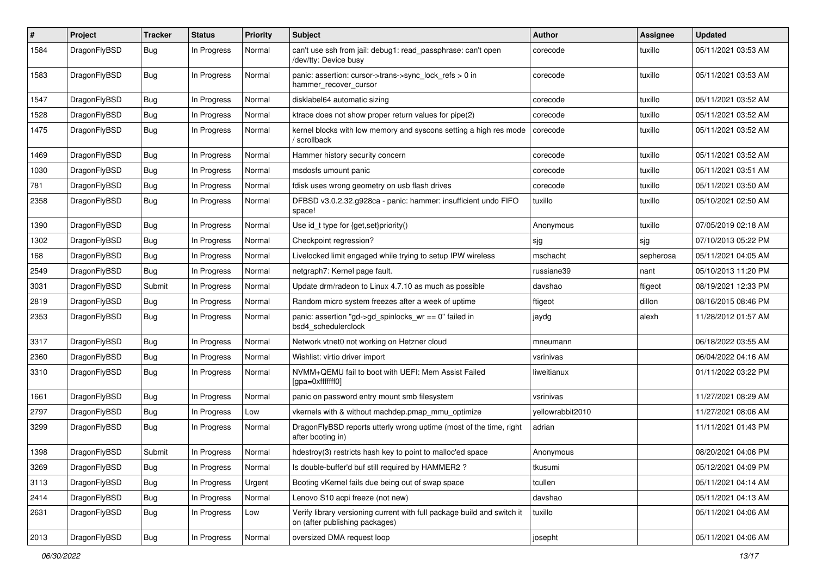| $\#$ | Project      | <b>Tracker</b> | <b>Status</b> | <b>Priority</b> | Subject                                                                                                   | <b>Author</b>    | <b>Assignee</b> | <b>Updated</b>      |
|------|--------------|----------------|---------------|-----------------|-----------------------------------------------------------------------------------------------------------|------------------|-----------------|---------------------|
| 1584 | DragonFlyBSD | Bug            | In Progress   | Normal          | can't use ssh from jail: debug1: read_passphrase: can't open<br>/dev/tty: Device busy                     | corecode         | tuxillo         | 05/11/2021 03:53 AM |
| 1583 | DragonFlyBSD | Bug            | In Progress   | Normal          | panic: assertion: cursor->trans->sync_lock_refs > 0 in<br>hammer_recover_cursor                           | corecode         | tuxillo         | 05/11/2021 03:53 AM |
| 1547 | DragonFlyBSD | Bug            | In Progress   | Normal          | disklabel64 automatic sizing                                                                              | corecode         | tuxillo         | 05/11/2021 03:52 AM |
| 1528 | DragonFlyBSD | Bug            | In Progress   | Normal          | ktrace does not show proper return values for pipe(2)                                                     | corecode         | tuxillo         | 05/11/2021 03:52 AM |
| 1475 | DragonFlyBSD | Bug            | In Progress   | Normal          | kernel blocks with low memory and syscons setting a high res mode<br>/ scrollback                         | corecode         | tuxillo         | 05/11/2021 03:52 AM |
| 1469 | DragonFlyBSD | Bug            | In Progress   | Normal          | Hammer history security concern                                                                           | corecode         | tuxillo         | 05/11/2021 03:52 AM |
| 1030 | DragonFlyBSD | Bug            | In Progress   | Normal          | msdosfs umount panic                                                                                      | corecode         | tuxillo         | 05/11/2021 03:51 AM |
| 781  | DragonFlyBSD | <b>Bug</b>     | In Progress   | Normal          | fdisk uses wrong geometry on usb flash drives                                                             | corecode         | tuxillo         | 05/11/2021 03:50 AM |
| 2358 | DragonFlyBSD | <b>Bug</b>     | In Progress   | Normal          | DFBSD v3.0.2.32.g928ca - panic: hammer: insufficient undo FIFO<br>space!                                  | tuxillo          | tuxillo         | 05/10/2021 02:50 AM |
| 1390 | DragonFlyBSD | Bug            | In Progress   | Normal          | Use id_t type for {get,set}priority()                                                                     | Anonymous        | tuxillo         | 07/05/2019 02:18 AM |
| 1302 | DragonFlyBSD | <b>Bug</b>     | In Progress   | Normal          | Checkpoint regression?                                                                                    | sjg              | sjg             | 07/10/2013 05:22 PM |
| 168  | DragonFlyBSD | <b>Bug</b>     | In Progress   | Normal          | Livelocked limit engaged while trying to setup IPW wireless                                               | mschacht         | sepherosa       | 05/11/2021 04:05 AM |
| 2549 | DragonFlyBSD | <b>Bug</b>     | In Progress   | Normal          | netgraph7: Kernel page fault.                                                                             | russiane39       | nant            | 05/10/2013 11:20 PM |
| 3031 | DragonFlyBSD | Submit         | In Progress   | Normal          | Update drm/radeon to Linux 4.7.10 as much as possible                                                     | davshao          | ftigeot         | 08/19/2021 12:33 PM |
| 2819 | DragonFlyBSD | <b>Bug</b>     | In Progress   | Normal          | Random micro system freezes after a week of uptime                                                        | ftigeot          | dillon          | 08/16/2015 08:46 PM |
| 2353 | DragonFlyBSD | <b>Bug</b>     | In Progress   | Normal          | panic: assertion "gd->gd_spinlocks_wr == 0" failed in<br>bsd4_schedulerclock                              | jaydg            | alexh           | 11/28/2012 01:57 AM |
| 3317 | DragonFlyBSD | Bug            | In Progress   | Normal          | Network vtnet0 not working on Hetzner cloud                                                               | mneumann         |                 | 06/18/2022 03:55 AM |
| 2360 | DragonFlyBSD | <b>Bug</b>     | In Progress   | Normal          | Wishlist: virtio driver import                                                                            | vsrinivas        |                 | 06/04/2022 04:16 AM |
| 3310 | DragonFlyBSD | Bug            | In Progress   | Normal          | NVMM+QEMU fail to boot with UEFI: Mem Assist Failed<br>[gpa=0xfffffff0]                                   | liweitianux      |                 | 01/11/2022 03:22 PM |
| 1661 | DragonFlyBSD | Bug            | In Progress   | Normal          | panic on password entry mount smb filesystem                                                              | vsrinivas        |                 | 11/27/2021 08:29 AM |
| 2797 | DragonFlyBSD | <b>Bug</b>     | In Progress   | Low             | vkernels with & without machdep.pmap mmu optimize                                                         | yellowrabbit2010 |                 | 11/27/2021 08:06 AM |
| 3299 | DragonFlyBSD | <b>Bug</b>     | In Progress   | Normal          | DragonFlyBSD reports utterly wrong uptime (most of the time, right<br>after booting in)                   | adrian           |                 | 11/11/2021 01:43 PM |
| 1398 | DragonFlyBSD | Submit         | In Progress   | Normal          | hdestroy(3) restricts hash key to point to malloc'ed space                                                | Anonymous        |                 | 08/20/2021 04:06 PM |
| 3269 | DragonFlyBSD | <b>Bug</b>     | In Progress   | Normal          | Is double-buffer'd buf still required by HAMMER2?                                                         | tkusumi          |                 | 05/12/2021 04:09 PM |
| 3113 | DragonFlyBSD | Bug            | In Progress   | Urgent          | Booting vKernel fails due being out of swap space                                                         | tcullen          |                 | 05/11/2021 04:14 AM |
| 2414 | DragonFlyBSD | <b>Bug</b>     | In Progress   | Normal          | Lenovo S10 acpi freeze (not new)                                                                          | davshao          |                 | 05/11/2021 04:13 AM |
| 2631 | DragonFlyBSD | <b>Bug</b>     | In Progress   | Low             | Verify library versioning current with full package build and switch it<br>on (after publishing packages) | tuxillo          |                 | 05/11/2021 04:06 AM |
| 2013 | DragonFlyBSD | <b>Bug</b>     | In Progress   | Normal          | oversized DMA request loop                                                                                | josepht          |                 | 05/11/2021 04:06 AM |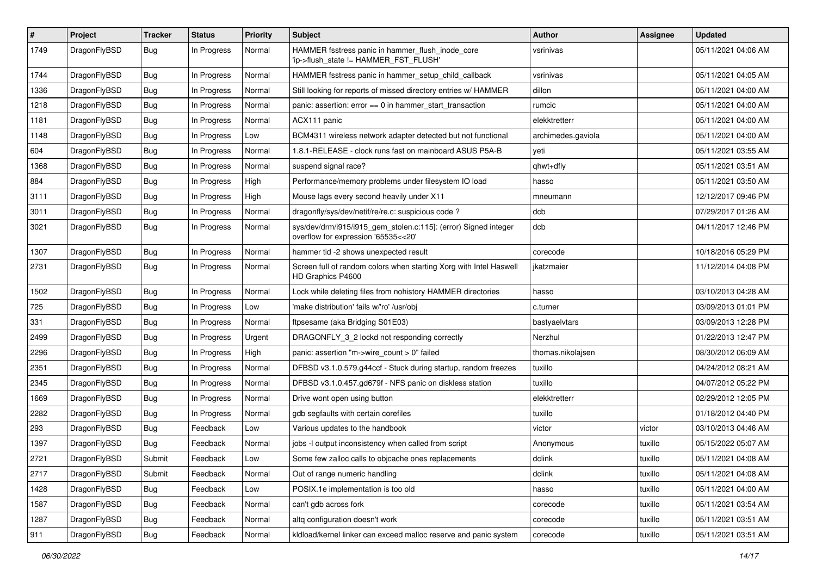| $\sharp$ | Project      | <b>Tracker</b> | <b>Status</b> | <b>Priority</b> | Subject                                                                                                | <b>Author</b>      | Assignee | <b>Updated</b>      |
|----------|--------------|----------------|---------------|-----------------|--------------------------------------------------------------------------------------------------------|--------------------|----------|---------------------|
| 1749     | DragonFlyBSD | <b>Bug</b>     | In Progress   | Normal          | HAMMER fsstress panic in hammer_flush_inode_core<br>'ip->flush_state != HAMMER_FST_FLUSH'              | vsrinivas          |          | 05/11/2021 04:06 AM |
| 1744     | DragonFlyBSD | <b>Bug</b>     | In Progress   | Normal          | HAMMER fsstress panic in hammer setup child callback                                                   | vsrinivas          |          | 05/11/2021 04:05 AM |
| 1336     | DragonFlyBSD | Bug            | In Progress   | Normal          | Still looking for reports of missed directory entries w/ HAMMER                                        | dillon             |          | 05/11/2021 04:00 AM |
| 1218     | DragonFlyBSD | <b>Bug</b>     | In Progress   | Normal          | panic: assertion: error == 0 in hammer_start_transaction                                               | rumcic             |          | 05/11/2021 04:00 AM |
| 1181     | DragonFlyBSD | <b>Bug</b>     | In Progress   | Normal          | ACX111 panic                                                                                           | elekktretterr      |          | 05/11/2021 04:00 AM |
| 1148     | DragonFlyBSD | <b>Bug</b>     | In Progress   | Low             | BCM4311 wireless network adapter detected but not functional                                           | archimedes.gaviola |          | 05/11/2021 04:00 AM |
| 604      | DragonFlyBSD | Bug            | In Progress   | Normal          | 1.8.1-RELEASE - clock runs fast on mainboard ASUS P5A-B                                                | yeti               |          | 05/11/2021 03:55 AM |
| 1368     | DragonFlyBSD | <b>Bug</b>     | In Progress   | Normal          | suspend signal race?                                                                                   | qhwt+dfly          |          | 05/11/2021 03:51 AM |
| 884      | DragonFlyBSD | Bug            | In Progress   | High            | Performance/memory problems under filesystem IO load                                                   | hasso              |          | 05/11/2021 03:50 AM |
| 3111     | DragonFlyBSD | <b>Bug</b>     | In Progress   | High            | Mouse lags every second heavily under X11                                                              | mneumann           |          | 12/12/2017 09:46 PM |
| 3011     | DragonFlyBSD | <b>Bug</b>     | In Progress   | Normal          | dragonfly/sys/dev/netif/re/re.c: suspicious code?                                                      | dcb                |          | 07/29/2017 01:26 AM |
| 3021     | DragonFlyBSD | <b>Bug</b>     | In Progress   | Normal          | sys/dev/drm/i915/i915_gem_stolen.c:115]: (error) Signed integer<br>overflow for expression '65535<<20' | dcb                |          | 04/11/2017 12:46 PM |
| 1307     | DragonFlyBSD | Bug            | In Progress   | Normal          | hammer tid -2 shows unexpected result                                                                  | corecode           |          | 10/18/2016 05:29 PM |
| 2731     | DragonFlyBSD | <b>Bug</b>     | In Progress   | Normal          | Screen full of random colors when starting Xorg with Intel Haswell<br>HD Graphics P4600                | jkatzmaier         |          | 11/12/2014 04:08 PM |
| 1502     | DragonFlyBSD | Bug            | In Progress   | Normal          | Lock while deleting files from nohistory HAMMER directories                                            | hasso              |          | 03/10/2013 04:28 AM |
| 725      | DragonFlyBSD | <b>Bug</b>     | In Progress   | Low             | 'make distribution' fails w/'ro' /usr/obj                                                              | c.turner           |          | 03/09/2013 01:01 PM |
| 331      | DragonFlyBSD | <b>Bug</b>     | In Progress   | Normal          | ftpsesame (aka Bridging S01E03)                                                                        | bastyaelvtars      |          | 03/09/2013 12:28 PM |
| 2499     | DragonFlyBSD | <b>Bug</b>     | In Progress   | Urgent          | DRAGONFLY_3_2 lockd not responding correctly                                                           | Nerzhul            |          | 01/22/2013 12:47 PM |
| 2296     | DragonFlyBSD | <b>Bug</b>     | In Progress   | High            | panic: assertion "m->wire_count > 0" failed                                                            | thomas.nikolajsen  |          | 08/30/2012 06:09 AM |
| 2351     | DragonFlyBSD | <b>Bug</b>     | In Progress   | Normal          | DFBSD v3.1.0.579.g44ccf - Stuck during startup, random freezes                                         | tuxillo            |          | 04/24/2012 08:21 AM |
| 2345     | DragonFlyBSD | Bug            | In Progress   | Normal          | DFBSD v3.1.0.457.gd679f - NFS panic on diskless station                                                | tuxillo            |          | 04/07/2012 05:22 PM |
| 1669     | DragonFlyBSD | Bug            | In Progress   | Normal          | Drive wont open using button                                                                           | elekktretterr      |          | 02/29/2012 12:05 PM |
| 2282     | DragonFlyBSD | Bug            | In Progress   | Normal          | gdb segfaults with certain corefiles                                                                   | tuxillo            |          | 01/18/2012 04:40 PM |
| 293      | DragonFlyBSD | Bug            | Feedback      | Low             | Various updates to the handbook                                                                        | victor             | victor   | 03/10/2013 04:46 AM |
| 1397     | DragonFlyBSD | Bug            | Feedback      | Normal          | jobs -I output inconsistency when called from script                                                   | Anonymous          | tuxillo  | 05/15/2022 05:07 AM |
| 2721     | DragonFlyBSD | Submit         | Feedback      | Low             | Some few zalloc calls to objcache ones replacements                                                    | dclink             | tuxillo  | 05/11/2021 04:08 AM |
| 2717     | DragonFlyBSD | Submit         | Feedback      | Normal          | Out of range numeric handling                                                                          | dclink             | tuxillo  | 05/11/2021 04:08 AM |
| 1428     | DragonFlyBSD | <b>Bug</b>     | Feedback      | Low             | POSIX.1e implementation is too old                                                                     | hasso              | tuxillo  | 05/11/2021 04:00 AM |
| 1587     | DragonFlyBSD | Bug            | Feedback      | Normal          | can't gdb across fork                                                                                  | corecode           | tuxillo  | 05/11/2021 03:54 AM |
| 1287     | DragonFlyBSD | <b>Bug</b>     | Feedback      | Normal          | altq configuration doesn't work                                                                        | corecode           | tuxillo  | 05/11/2021 03:51 AM |
| 911      | DragonFlyBSD | <b>Bug</b>     | Feedback      | Normal          | kldload/kernel linker can exceed malloc reserve and panic system                                       | corecode           | tuxillo  | 05/11/2021 03:51 AM |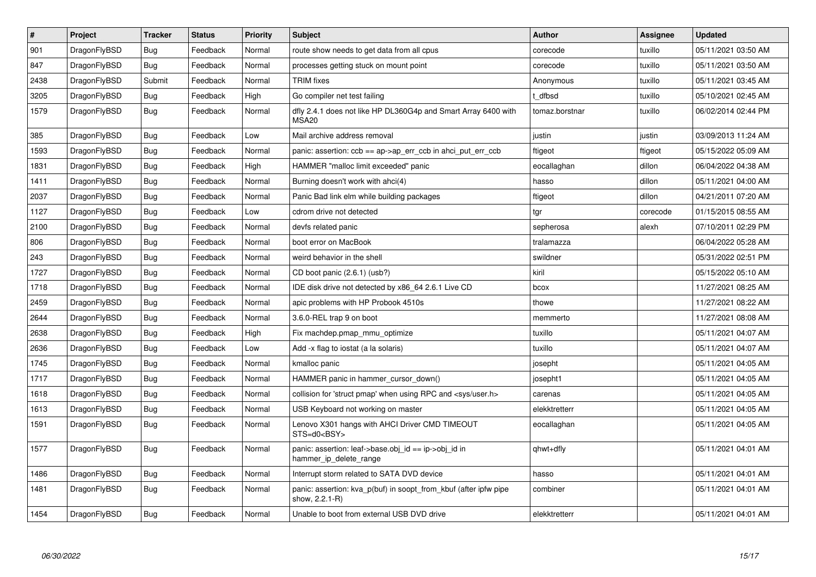| $\vert$ # | Project      | <b>Tracker</b> | <b>Status</b> | <b>Priority</b> | <b>Subject</b>                                                                      | <b>Author</b>  | Assignee | <b>Updated</b>      |
|-----------|--------------|----------------|---------------|-----------------|-------------------------------------------------------------------------------------|----------------|----------|---------------------|
| 901       | DragonFlyBSD | Bug            | Feedback      | Normal          | route show needs to get data from all cpus                                          | corecode       | tuxillo  | 05/11/2021 03:50 AM |
| 847       | DragonFlyBSD | Bug            | Feedback      | Normal          | processes getting stuck on mount point                                              | corecode       | tuxillo  | 05/11/2021 03:50 AM |
| 2438      | DragonFlyBSD | Submit         | Feedback      | Normal          | <b>TRIM</b> fixes                                                                   | Anonymous      | tuxillo  | 05/11/2021 03:45 AM |
| 3205      | DragonFlyBSD | <b>Bug</b>     | Feedback      | High            | Go compiler net test failing                                                        | t dfbsd        | tuxillo  | 05/10/2021 02:45 AM |
| 1579      | DragonFlyBSD | Bug            | Feedback      | Normal          | dfly 2.4.1 does not like HP DL360G4p and Smart Array 6400 with<br>MSA <sub>20</sub> | tomaz.borstnar | tuxillo  | 06/02/2014 02:44 PM |
| 385       | DragonFlyBSD | <b>Bug</b>     | Feedback      | Low             | Mail archive address removal                                                        | justin         | justin   | 03/09/2013 11:24 AM |
| 1593      | DragonFlyBSD | Bug            | Feedback      | Normal          | panic: assertion: $ccb == ap > ap$ err $ccb$ in ahci put err $ccb$                  | ftigeot        | ftigeot  | 05/15/2022 05:09 AM |
| 1831      | DragonFlyBSD | Bug            | Feedback      | High            | HAMMER "malloc limit exceeded" panic                                                | eocallaghan    | dillon   | 06/04/2022 04:38 AM |
| 1411      | DragonFlyBSD | <b>Bug</b>     | Feedback      | Normal          | Burning doesn't work with ahci(4)                                                   | hasso          | dillon   | 05/11/2021 04:00 AM |
| 2037      | DragonFlyBSD | <b>Bug</b>     | Feedback      | Normal          | Panic Bad link elm while building packages                                          | ftigeot        | dillon   | 04/21/2011 07:20 AM |
| 1127      | DragonFlyBSD | <b>Bug</b>     | Feedback      | Low             | cdrom drive not detected                                                            | tgr            | corecode | 01/15/2015 08:55 AM |
| 2100      | DragonFlyBSD | Bug            | Feedback      | Normal          | devfs related panic                                                                 | sepherosa      | alexh    | 07/10/2011 02:29 PM |
| 806       | DragonFlyBSD | Bug            | Feedback      | Normal          | boot error on MacBook                                                               | tralamazza     |          | 06/04/2022 05:28 AM |
| 243       | DragonFlyBSD | Bug            | Feedback      | Normal          | weird behavior in the shell                                                         | swildner       |          | 05/31/2022 02:51 PM |
| 1727      | DragonFlyBSD | <b>Bug</b>     | Feedback      | Normal          | CD boot panic (2.6.1) (usb?)                                                        | kiril          |          | 05/15/2022 05:10 AM |
| 1718      | DragonFlyBSD | <b>Bug</b>     | Feedback      | Normal          | IDE disk drive not detected by x86 64 2.6.1 Live CD                                 | bcox           |          | 11/27/2021 08:25 AM |
| 2459      | DragonFlyBSD | <b>Bug</b>     | Feedback      | Normal          | apic problems with HP Probook 4510s                                                 | thowe          |          | 11/27/2021 08:22 AM |
| 2644      | DragonFlyBSD | <b>Bug</b>     | Feedback      | Normal          | 3.6.0-REL trap 9 on boot                                                            | memmerto       |          | 11/27/2021 08:08 AM |
| 2638      | DragonFlyBSD | Bug            | Feedback      | High            | Fix machdep.pmap mmu optimize                                                       | tuxillo        |          | 05/11/2021 04:07 AM |
| 2636      | DragonFlyBSD | Bug            | Feedback      | Low             | Add -x flag to iostat (a la solaris)                                                | tuxillo        |          | 05/11/2021 04:07 AM |
| 1745      | DragonFlyBSD | <b>Bug</b>     | Feedback      | Normal          | kmalloc panic                                                                       | josepht        |          | 05/11/2021 04:05 AM |
| 1717      | DragonFlyBSD | <b>Bug</b>     | Feedback      | Normal          | HAMMER panic in hammer_cursor_down()                                                | josepht1       |          | 05/11/2021 04:05 AM |
| 1618      | DragonFlyBSD | <b>Bug</b>     | Feedback      | Normal          | collision for 'struct pmap' when using RPC and <sys user.h=""></sys>                | carenas        |          | 05/11/2021 04:05 AM |
| 1613      | DragonFlyBSD | <b>Bug</b>     | Feedback      | Normal          | USB Keyboard not working on master                                                  | elekktretterr  |          | 05/11/2021 04:05 AM |
| 1591      | DragonFlyBSD | Bug            | Feedback      | Normal          | Lenovo X301 hangs with AHCI Driver CMD TIMEOUT<br>STS=d0 <bsy></bsy>                | eocallaghan    |          | 05/11/2021 04:05 AM |
| 1577      | DragonFlyBSD | <b>Bug</b>     | Feedback      | Normal          | panic: assertion: leaf->base.obj_id == ip->obj_id in<br>hammer_ip_delete_range      | qhwt+dfly      |          | 05/11/2021 04:01 AM |
| 1486      | DragonFlyBSD | <b>Bug</b>     | Feedback      | Normal          | Interrupt storm related to SATA DVD device                                          | hasso          |          | 05/11/2021 04:01 AM |
| 1481      | DragonFlyBSD | Bug            | Feedback      | Normal          | panic: assertion: kva p(buf) in soopt from kbuf (after ipfw pipe<br>show, 2.2.1-R)  | combiner       |          | 05/11/2021 04:01 AM |
| 1454      | DragonFlyBSD | <b>Bug</b>     | Feedback      | Normal          | Unable to boot from external USB DVD drive                                          | elekktretterr  |          | 05/11/2021 04:01 AM |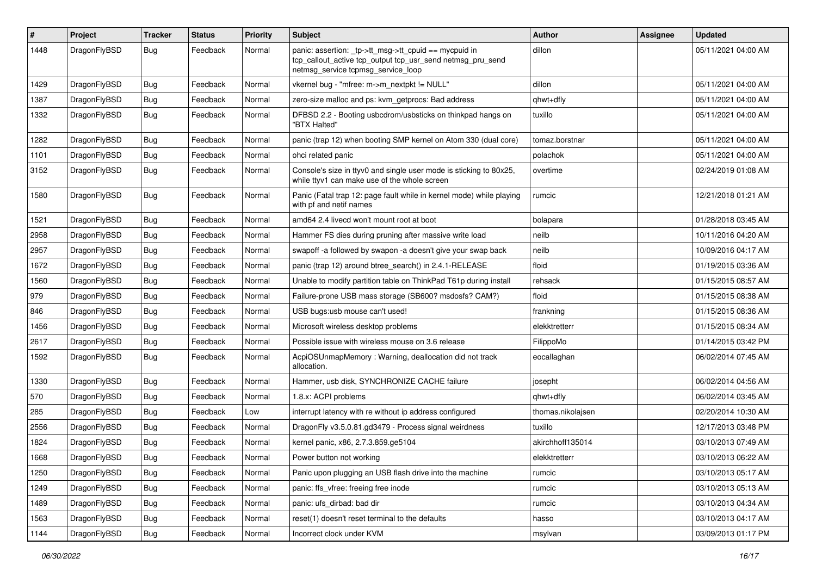| #    | Project      | <b>Tracker</b> | <b>Status</b> | <b>Priority</b> | Subject                                                                                                                                                   | <b>Author</b>     | <b>Assignee</b> | <b>Updated</b>      |
|------|--------------|----------------|---------------|-----------------|-----------------------------------------------------------------------------------------------------------------------------------------------------------|-------------------|-----------------|---------------------|
| 1448 | DragonFlyBSD | Bug            | Feedback      | Normal          | panic: assertion: _tp->tt_msg->tt_cpuid == mycpuid in<br>tcp_callout_active tcp_output tcp_usr_send netmsg_pru_send<br>netmsg_service tcpmsg_service_loop | dillon            |                 | 05/11/2021 04:00 AM |
| 1429 | DragonFlyBSD | Bug            | Feedback      | Normal          | vkernel bug - "mfree: m->m_nextpkt != NULL"                                                                                                               | dillon            |                 | 05/11/2021 04:00 AM |
| 1387 | DragonFlyBSD | <b>Bug</b>     | Feedback      | Normal          | zero-size malloc and ps: kvm_getprocs: Bad address                                                                                                        | qhwt+dfly         |                 | 05/11/2021 04:00 AM |
| 1332 | DragonFlyBSD | <b>Bug</b>     | Feedback      | Normal          | DFBSD 2.2 - Booting usbcdrom/usbsticks on thinkpad hangs on<br>"BTX Halted"                                                                               | tuxillo           |                 | 05/11/2021 04:00 AM |
| 1282 | DragonFlyBSD | <b>Bug</b>     | Feedback      | Normal          | panic (trap 12) when booting SMP kernel on Atom 330 (dual core)                                                                                           | tomaz.borstnar    |                 | 05/11/2021 04:00 AM |
| 1101 | DragonFlyBSD | <b>Bug</b>     | Feedback      | Normal          | ohci related panic                                                                                                                                        | polachok          |                 | 05/11/2021 04:00 AM |
| 3152 | DragonFlyBSD | <b>Bug</b>     | Feedback      | Normal          | Console's size in ttyv0 and single user mode is sticking to 80x25,<br>while ttyv1 can make use of the whole screen                                        | overtime          |                 | 02/24/2019 01:08 AM |
| 1580 | DragonFlyBSD | Bug            | Feedback      | Normal          | Panic (Fatal trap 12: page fault while in kernel mode) while playing<br>with pf and netif names                                                           | rumcic            |                 | 12/21/2018 01:21 AM |
| 1521 | DragonFlyBSD | <b>Bug</b>     | Feedback      | Normal          | amd64 2.4 livecd won't mount root at boot                                                                                                                 | bolapara          |                 | 01/28/2018 03:45 AM |
| 2958 | DragonFlyBSD | <b>Bug</b>     | Feedback      | Normal          | Hammer FS dies during pruning after massive write load                                                                                                    | neilb             |                 | 10/11/2016 04:20 AM |
| 2957 | DragonFlyBSD | <b>Bug</b>     | Feedback      | Normal          | swapoff -a followed by swapon -a doesn't give your swap back                                                                                              | neilb             |                 | 10/09/2016 04:17 AM |
| 1672 | DragonFlyBSD | <b>Bug</b>     | Feedback      | Normal          | panic (trap 12) around btree_search() in 2.4.1-RELEASE                                                                                                    | floid             |                 | 01/19/2015 03:36 AM |
| 1560 | DragonFlyBSD | <b>Bug</b>     | Feedback      | Normal          | Unable to modify partition table on ThinkPad T61p during install                                                                                          | rehsack           |                 | 01/15/2015 08:57 AM |
| 979  | DragonFlyBSD | <b>Bug</b>     | Feedback      | Normal          | Failure-prone USB mass storage (SB600? msdosfs? CAM?)                                                                                                     | floid             |                 | 01/15/2015 08:38 AM |
| 846  | DragonFlyBSD | <b>Bug</b>     | Feedback      | Normal          | USB bugs:usb mouse can't used!                                                                                                                            | frankning         |                 | 01/15/2015 08:36 AM |
| 1456 | DragonFlyBSD | <b>Bug</b>     | Feedback      | Normal          | Microsoft wireless desktop problems                                                                                                                       | elekktretterr     |                 | 01/15/2015 08:34 AM |
| 2617 | DragonFlyBSD | <b>Bug</b>     | Feedback      | Normal          | Possible issue with wireless mouse on 3.6 release                                                                                                         | FilippoMo         |                 | 01/14/2015 03:42 PM |
| 1592 | DragonFlyBSD | Bug            | Feedback      | Normal          | AcpiOSUnmapMemory: Warning, deallocation did not track<br>allocation.                                                                                     | eocallaghan       |                 | 06/02/2014 07:45 AM |
| 1330 | DragonFlyBSD | <b>Bug</b>     | Feedback      | Normal          | Hammer, usb disk, SYNCHRONIZE CACHE failure                                                                                                               | josepht           |                 | 06/02/2014 04:56 AM |
| 570  | DragonFlyBSD | <b>Bug</b>     | Feedback      | Normal          | 1.8.x: ACPI problems                                                                                                                                      | qhwt+dfly         |                 | 06/02/2014 03:45 AM |
| 285  | DragonFlyBSD | <b>Bug</b>     | Feedback      | Low             | interrupt latency with re without ip address configured                                                                                                   | thomas.nikolajsen |                 | 02/20/2014 10:30 AM |
| 2556 | DragonFlyBSD | <b>Bug</b>     | Feedback      | Normal          | DragonFly v3.5.0.81.gd3479 - Process signal weirdness                                                                                                     | tuxillo           |                 | 12/17/2013 03:48 PM |
| 1824 | DragonFlyBSD | <b>Bug</b>     | Feedback      | Normal          | kernel panic, x86, 2.7.3.859.ge5104                                                                                                                       | akirchhoff135014  |                 | 03/10/2013 07:49 AM |
| 1668 | DragonFlyBSD | Bug            | Feedback      | Normal          | Power button not working                                                                                                                                  | elekktretterr     |                 | 03/10/2013 06:22 AM |
| 1250 | DragonFlyBSD | Bug            | Feedback      | Normal          | Panic upon plugging an USB flash drive into the machine                                                                                                   | rumcic            |                 | 03/10/2013 05:17 AM |
| 1249 | DragonFlyBSD | Bug            | Feedback      | Normal          | panic: ffs_vfree: freeing free inode                                                                                                                      | rumcic            |                 | 03/10/2013 05:13 AM |
| 1489 | DragonFlyBSD | <b>Bug</b>     | Feedback      | Normal          | panic: ufs_dirbad: bad dir                                                                                                                                | rumcic            |                 | 03/10/2013 04:34 AM |
| 1563 | DragonFlyBSD | <b>Bug</b>     | Feedback      | Normal          | reset(1) doesn't reset terminal to the defaults                                                                                                           | hasso             |                 | 03/10/2013 04:17 AM |
| 1144 | DragonFlyBSD | <b>Bug</b>     | Feedback      | Normal          | Incorrect clock under KVM                                                                                                                                 | msylvan           |                 | 03/09/2013 01:17 PM |